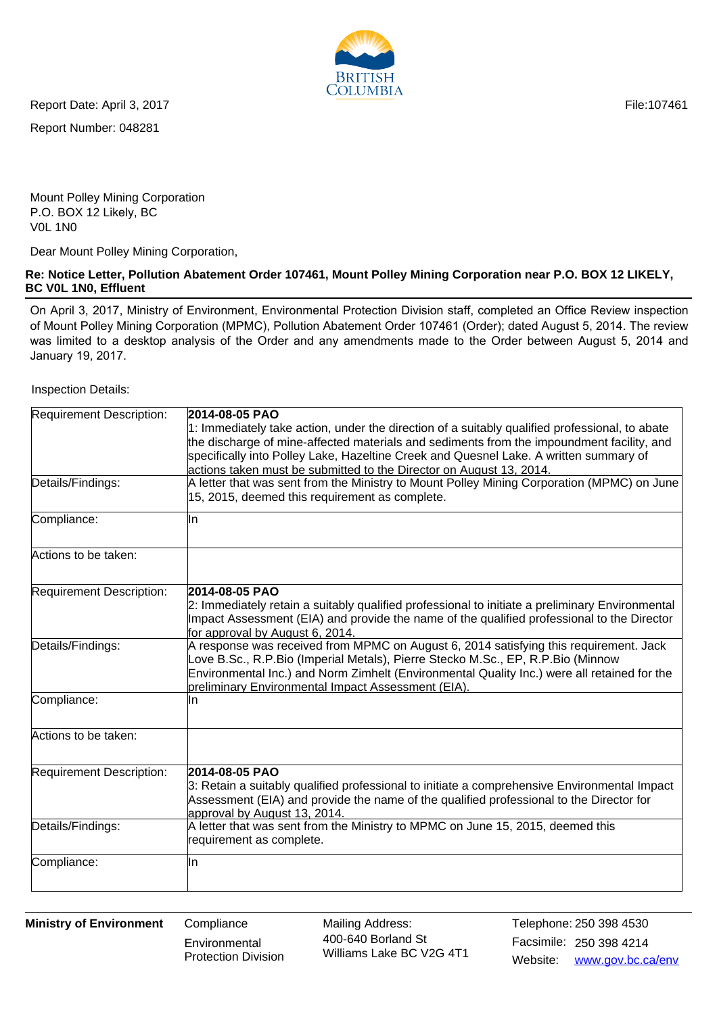File:107461



Report Date: April 3, 2017

Report Number: 048281

Mount Polley Mining Corporation P.O. BOX 12 Likely, BC V0L 1N0

Dear Mount Polley Mining Corporation,

## **Re: Notice Letter, Pollution Abatement Order 107461, Mount Polley Mining Corporation near P.O. BOX 12 LIKELY, BC V0L 1N0, Effluent**

On April 3, 2017, Ministry of Environment, Environmental Protection Division staff, completed an Office Review inspection of Mount Polley Mining Corporation (MPMC), Pollution Abatement Order 107461 (Order); dated August 5, 2014. The review was limited to a desktop analysis of the Order and any amendments made to the Order between August 5, 2014 and January 19, 2017.

Inspection Details:

| Requirement Description:        | 2014-08-05 PAO                                                                                                                                                                              |
|---------------------------------|---------------------------------------------------------------------------------------------------------------------------------------------------------------------------------------------|
|                                 | 1: Immediately take action, under the direction of a suitably qualified professional, to abate<br>the discharge of mine-affected materials and sediments from the impoundment facility, and |
|                                 | specifically into Polley Lake, Hazeltine Creek and Quesnel Lake. A written summary of                                                                                                       |
|                                 | actions taken must be submitted to the Director on August 13, 2014.                                                                                                                         |
| Details/Findings:               | A letter that was sent from the Ministry to Mount Polley Mining Corporation (MPMC) on June                                                                                                  |
|                                 | 15, 2015, deemed this requirement as complete.                                                                                                                                              |
| Compliance:                     | lln                                                                                                                                                                                         |
| Actions to be taken:            |                                                                                                                                                                                             |
| <b>Requirement Description:</b> | 2014-08-05 PAO                                                                                                                                                                              |
|                                 | 2: Immediately retain a suitably qualified professional to initiate a preliminary Environmental                                                                                             |
|                                 | Impact Assessment (EIA) and provide the name of the qualified professional to the Director                                                                                                  |
|                                 | for approval by August 6, 2014.                                                                                                                                                             |
| Details/Findings:               | A response was received from MPMC on August 6, 2014 satisfying this requirement. Jack<br>Love B.Sc., R.P.Bio (Imperial Metals), Pierre Stecko M.Sc., EP, R.P.Bio (Minnow                    |
|                                 | Environmental Inc.) and Norm Zimhelt (Environmental Quality Inc.) were all retained for the<br>preliminary Environmental Impact Assessment (EIA).                                           |
| Compliance:                     | In                                                                                                                                                                                          |
|                                 |                                                                                                                                                                                             |
| Actions to be taken:            |                                                                                                                                                                                             |
| Requirement Description:        | 2014-08-05 PAO                                                                                                                                                                              |
|                                 | 3: Retain a suitably qualified professional to initiate a comprehensive Environmental Impact                                                                                                |
|                                 | Assessment (EIA) and provide the name of the qualified professional to the Director for                                                                                                     |
|                                 | approval by August 13, 2014.                                                                                                                                                                |
| Details/Findings:               | A letter that was sent from the Ministry to MPMC on June 15, 2015, deemed this                                                                                                              |
|                                 | requirement as complete.                                                                                                                                                                    |
| Compliance:                     | ∥n                                                                                                                                                                                          |
|                                 |                                                                                                                                                                                             |

**Ministry of Environment** Compliance

**Environmental** Protection Division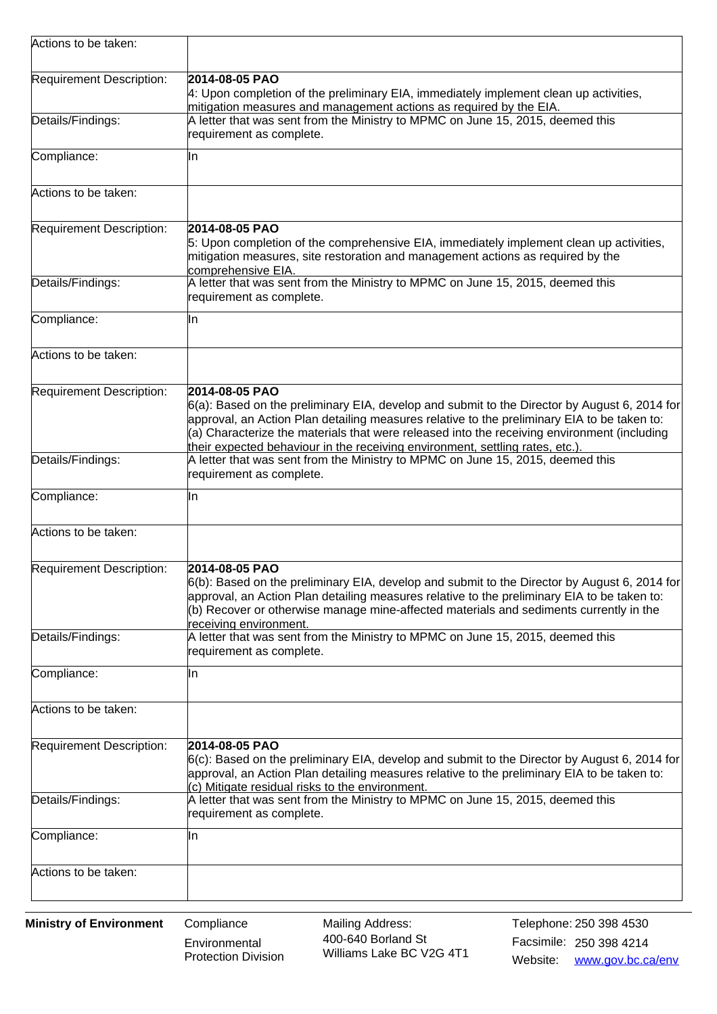| Actions to be taken:     |                                                                                                                                                                                                                                                                                                                                                                                               |
|--------------------------|-----------------------------------------------------------------------------------------------------------------------------------------------------------------------------------------------------------------------------------------------------------------------------------------------------------------------------------------------------------------------------------------------|
| Requirement Description: | 2014-08-05 PAO<br>4: Upon completion of the preliminary EIA, immediately implement clean up activities,<br>mitigation measures and management actions as required by the EIA.                                                                                                                                                                                                                 |
| Details/Findings:        | A letter that was sent from the Ministry to MPMC on June 15, 2015, deemed this<br>requirement as complete.                                                                                                                                                                                                                                                                                    |
| Compliance:              | In                                                                                                                                                                                                                                                                                                                                                                                            |
| Actions to be taken:     |                                                                                                                                                                                                                                                                                                                                                                                               |
| Requirement Description: | 2014-08-05 PAO<br>5: Upon completion of the comprehensive EIA, immediately implement clean up activities,<br>mitigation measures, site restoration and management actions as required by the<br>comprehensive EIA.                                                                                                                                                                            |
| Details/Findings:        | A letter that was sent from the Ministry to MPMC on June 15, 2015, deemed this<br>requirement as complete.                                                                                                                                                                                                                                                                                    |
| Compliance:              | lln.                                                                                                                                                                                                                                                                                                                                                                                          |
| Actions to be taken:     |                                                                                                                                                                                                                                                                                                                                                                                               |
| Requirement Description: | 2014-08-05 PAO<br>6(a): Based on the preliminary EIA, develop and submit to the Director by August 6, 2014 for<br>approval, an Action Plan detailing measures relative to the preliminary EIA to be taken to:<br>(a) Characterize the materials that were released into the receiving environment (including<br>their expected behaviour in the receiving environment, settling rates, etc.). |
| Details/Findings:        | A letter that was sent from the Ministry to MPMC on June 15, 2015, deemed this<br>requirement as complete.                                                                                                                                                                                                                                                                                    |
| Compliance:              | ∥n                                                                                                                                                                                                                                                                                                                                                                                            |
| Actions to be taken:     |                                                                                                                                                                                                                                                                                                                                                                                               |
| Requirement Description: | 2014-08-05 PAO<br>6(b): Based on the preliminary EIA, develop and submit to the Director by August 6, 2014 for<br>approval, an Action Plan detailing measures relative to the preliminary EIA to be taken to:<br>(b) Recover or otherwise manage mine-affected materials and sediments currently in the<br>receiving environment.                                                             |
| Details/Findings:        | A letter that was sent from the Ministry to MPMC on June 15, 2015, deemed this<br>requirement as complete.                                                                                                                                                                                                                                                                                    |
| Compliance:              | IIn                                                                                                                                                                                                                                                                                                                                                                                           |
| Actions to be taken:     |                                                                                                                                                                                                                                                                                                                                                                                               |
| Requirement Description: | 2014-08-05 PAO<br>$6(c)$ : Based on the preliminary EIA, develop and submit to the Director by August 6, 2014 for<br>approval, an Action Plan detailing measures relative to the preliminary EIA to be taken to:<br>(c) Mitigate residual risks to the environment.                                                                                                                           |
| Details/Findings:        | A letter that was sent from the Ministry to MPMC on June 15, 2015, deemed this<br>requirement as complete.                                                                                                                                                                                                                                                                                    |
| Compliance:              | In                                                                                                                                                                                                                                                                                                                                                                                            |
| Actions to be taken:     |                                                                                                                                                                                                                                                                                                                                                                                               |

**Environmental** Protection Division Mailing Address:<br>400-640 Borland St Facsimile: 250 398 4214 400-640 Borland St Williams Lake BC V2G 4T1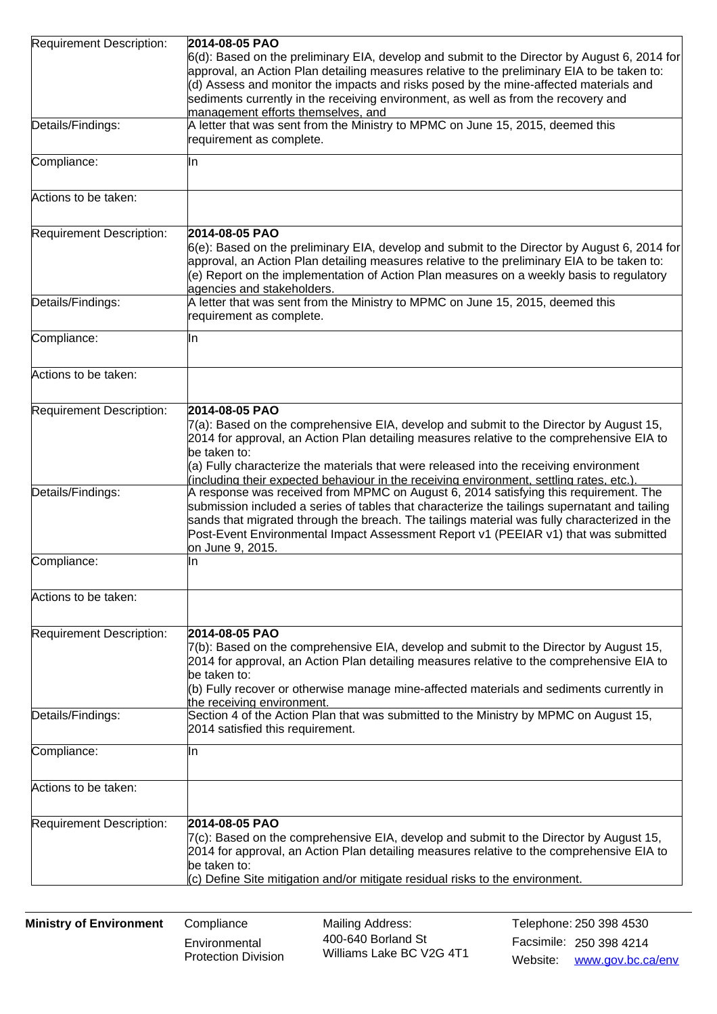| Requirement Description:        | 2014-08-05 PAO                                                                                                                                                                                                                                                                                                                                                                                                                                                           |
|---------------------------------|--------------------------------------------------------------------------------------------------------------------------------------------------------------------------------------------------------------------------------------------------------------------------------------------------------------------------------------------------------------------------------------------------------------------------------------------------------------------------|
|                                 | 6(d): Based on the preliminary EIA, develop and submit to the Director by August 6, 2014 for<br>approval, an Action Plan detailing measures relative to the preliminary EIA to be taken to:<br>(d) Assess and monitor the impacts and risks posed by the mine-affected materials and<br>sediments currently in the receiving environment, as well as from the recovery and                                                                                               |
|                                 | management efforts themselves, and                                                                                                                                                                                                                                                                                                                                                                                                                                       |
| Details/Findings:               | A letter that was sent from the Ministry to MPMC on June 15, 2015, deemed this<br>requirement as complete.                                                                                                                                                                                                                                                                                                                                                               |
| Compliance:                     | lln.                                                                                                                                                                                                                                                                                                                                                                                                                                                                     |
| Actions to be taken:            |                                                                                                                                                                                                                                                                                                                                                                                                                                                                          |
| <b>Requirement Description:</b> | 2014-08-05 PAO<br>6(e): Based on the preliminary EIA, develop and submit to the Director by August 6, 2014 for<br>approval, an Action Plan detailing measures relative to the preliminary EIA to be taken to:                                                                                                                                                                                                                                                            |
|                                 | (e) Report on the implementation of Action Plan measures on a weekly basis to regulatory<br>agencies and stakeholders.                                                                                                                                                                                                                                                                                                                                                   |
| Details/Findings:               | A letter that was sent from the Ministry to MPMC on June 15, 2015, deemed this<br>requirement as complete.                                                                                                                                                                                                                                                                                                                                                               |
| Compliance:                     | ∥n                                                                                                                                                                                                                                                                                                                                                                                                                                                                       |
| Actions to be taken:            |                                                                                                                                                                                                                                                                                                                                                                                                                                                                          |
| Requirement Description:        | 2014-08-05 PAO<br>7(a): Based on the comprehensive EIA, develop and submit to the Director by August 15,<br>2014 for approval, an Action Plan detailing measures relative to the comprehensive EIA to<br>be taken to:<br>(a) Fully characterize the materials that were released into the receiving environment                                                                                                                                                          |
| Details/Findings:               | (including their expected behaviour in the receiving environment, settling rates, etc.).<br>A response was received from MPMC on August 6, 2014 satisfying this requirement. The<br>submission included a series of tables that characterize the tailings supernatant and tailing<br>sands that migrated through the breach. The tailings material was fully characterized in the<br>Post-Event Environmental Impact Assessment Report v1 (PEEIAR v1) that was submitted |
| Compliance:                     | on June 9, 2015.<br>lln.                                                                                                                                                                                                                                                                                                                                                                                                                                                 |
| Actions to be taken:            |                                                                                                                                                                                                                                                                                                                                                                                                                                                                          |
| Requirement Description:        | 2014-08-05 PAO<br>7(b): Based on the comprehensive EIA, develop and submit to the Director by August 15,<br>2014 for approval, an Action Plan detailing measures relative to the comprehensive EIA to<br>be taken to:<br>(b) Fully recover or otherwise manage mine-affected materials and sediments currently in<br>the receiving environment.                                                                                                                          |
| Details/Findings:               | Section 4 of the Action Plan that was submitted to the Ministry by MPMC on August 15,<br>2014 satisfied this requirement.                                                                                                                                                                                                                                                                                                                                                |
| Compliance:                     | lln.                                                                                                                                                                                                                                                                                                                                                                                                                                                                     |
| Actions to be taken:            |                                                                                                                                                                                                                                                                                                                                                                                                                                                                          |
| Requirement Description:        | 2014-08-05 PAO<br>$7(c)$ : Based on the comprehensive EIA, develop and submit to the Director by August 15,<br>2014 for approval, an Action Plan detailing measures relative to the comprehensive EIA to<br>be taken to:<br>(c) Define Site mitigation and/or mitigate residual risks to the environment.                                                                                                                                                                |

**Environmental** Protection Division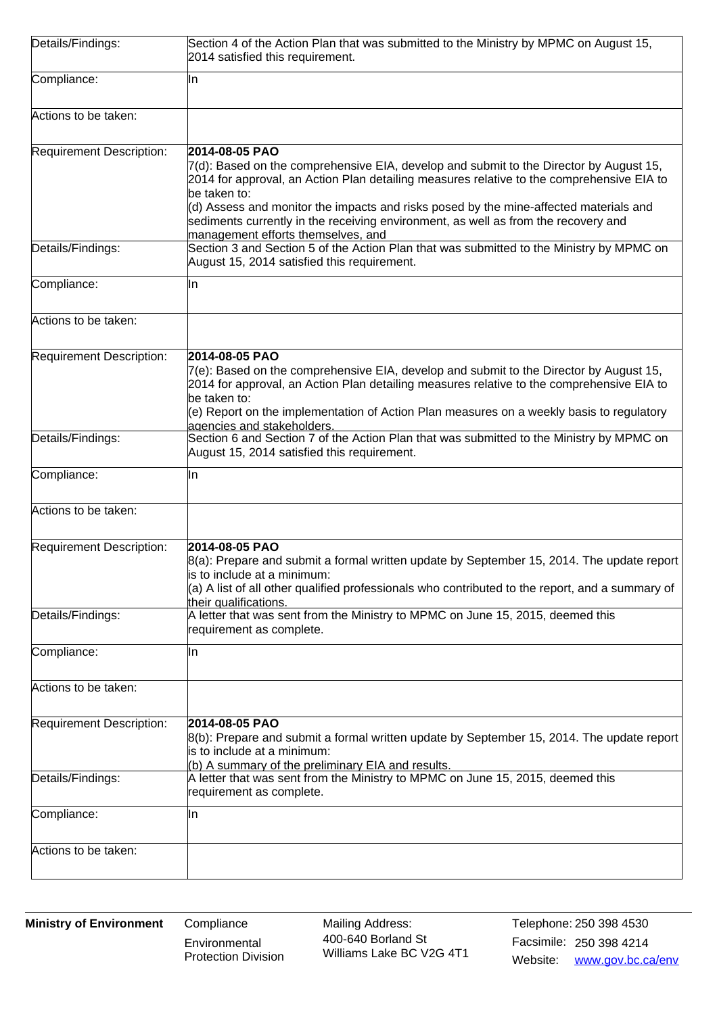| Details/Findings:        | Section 4 of the Action Plan that was submitted to the Ministry by MPMC on August 15,<br>2014 satisfied this requirement.                                                                                                                                                                                                                                                                                                                  |
|--------------------------|--------------------------------------------------------------------------------------------------------------------------------------------------------------------------------------------------------------------------------------------------------------------------------------------------------------------------------------------------------------------------------------------------------------------------------------------|
| Compliance:              | lln.                                                                                                                                                                                                                                                                                                                                                                                                                                       |
| Actions to be taken:     |                                                                                                                                                                                                                                                                                                                                                                                                                                            |
| Requirement Description: | 2014-08-05 PAO<br>7(d): Based on the comprehensive EIA, develop and submit to the Director by August 15,<br>2014 for approval, an Action Plan detailing measures relative to the comprehensive EIA to<br>be taken to:<br>(d) Assess and monitor the impacts and risks posed by the mine-affected materials and<br>sediments currently in the receiving environment, as well as from the recovery and<br>management efforts themselves, and |
| Details/Findings:        | Section 3 and Section 5 of the Action Plan that was submitted to the Ministry by MPMC on<br>August 15, 2014 satisfied this requirement.                                                                                                                                                                                                                                                                                                    |
| Compliance:              | lln.                                                                                                                                                                                                                                                                                                                                                                                                                                       |
| Actions to be taken:     |                                                                                                                                                                                                                                                                                                                                                                                                                                            |
| Requirement Description: | 2014-08-05 PAO<br>$7(e)$ : Based on the comprehensive EIA, develop and submit to the Director by August 15,<br>2014 for approval, an Action Plan detailing measures relative to the comprehensive EIA to<br>be taken to:<br>(e) Report on the implementation of Action Plan measures on a weekly basis to regulatory<br>agencies and stakeholders.                                                                                         |
| Details/Findings:        | Section 6 and Section 7 of the Action Plan that was submitted to the Ministry by MPMC on<br>August 15, 2014 satisfied this requirement.                                                                                                                                                                                                                                                                                                    |
| Compliance:              | ln.                                                                                                                                                                                                                                                                                                                                                                                                                                        |
| Actions to be taken:     |                                                                                                                                                                                                                                                                                                                                                                                                                                            |
| Requirement Description: | 2014-08-05 PAO<br>8(a): Prepare and submit a formal written update by September 15, 2014. The update report<br>is to include at a minimum:<br>(a) A list of all other qualified professionals who contributed to the report, and a summary of<br>their qualifications.                                                                                                                                                                     |
| Details/Findings:        | $\,$ A letter that was sent from the Ministry to MPMC on June 15, 2015, deemed this<br>requirement as complete.                                                                                                                                                                                                                                                                                                                            |
| Compliance:              | lln.                                                                                                                                                                                                                                                                                                                                                                                                                                       |
| Actions to be taken:     |                                                                                                                                                                                                                                                                                                                                                                                                                                            |
| Requirement Description: | 2014-08-05 PAO<br>8(b): Prepare and submit a formal written update by September 15, 2014. The update report<br>is to include at a minimum:<br>(b) A summary of the preliminary EIA and results.                                                                                                                                                                                                                                            |
| Details/Findings:        | A letter that was sent from the Ministry to MPMC on June 15, 2015, deemed this<br>requirement as complete.                                                                                                                                                                                                                                                                                                                                 |
| Compliance:              | lln.                                                                                                                                                                                                                                                                                                                                                                                                                                       |
| Actions to be taken:     |                                                                                                                                                                                                                                                                                                                                                                                                                                            |

**Environmental** Protection Division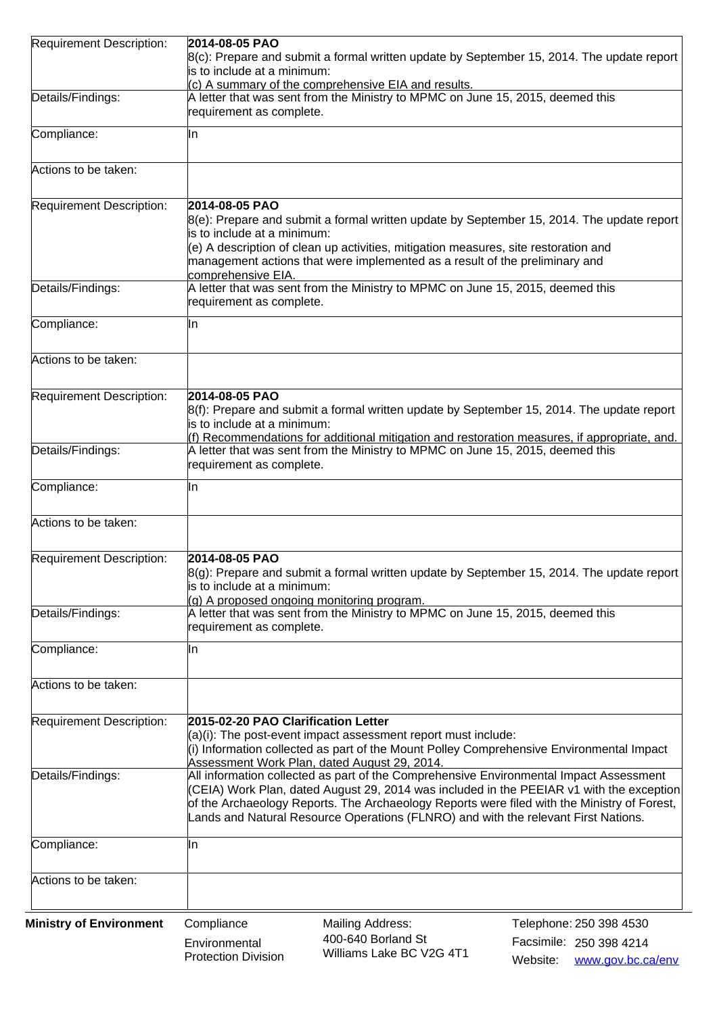| <b>Requirement Description:</b> | 2014-08-05 PAO                                                                                                                                                                    |
|---------------------------------|-----------------------------------------------------------------------------------------------------------------------------------------------------------------------------------|
|                                 | 8(c): Prepare and submit a formal written update by September 15, 2014. The update report                                                                                         |
|                                 | is to include at a minimum:                                                                                                                                                       |
| Details/Findings:               | (c) A summary of the comprehensive EIA and results.<br>A letter that was sent from the Ministry to MPMC on June 15, 2015, deemed this                                             |
|                                 | requirement as complete.                                                                                                                                                          |
| Compliance:                     | lln                                                                                                                                                                               |
|                                 |                                                                                                                                                                                   |
| Actions to be taken:            |                                                                                                                                                                                   |
| Requirement Description:        | 2014-08-05 PAO                                                                                                                                                                    |
|                                 | 8(e): Prepare and submit a formal written update by September 15, 2014. The update report                                                                                         |
|                                 | is to include at a minimum:<br>$(e)$ A description of clean up activities, mitigation measures, site restoration and                                                              |
|                                 | management actions that were implemented as a result of the preliminary and<br>comprehensive EIA.                                                                                 |
| Details/Findings:               | A letter that was sent from the Ministry to MPMC on June 15, 2015, deemed this                                                                                                    |
|                                 | requirement as complete.                                                                                                                                                          |
| Compliance:                     | In                                                                                                                                                                                |
| Actions to be taken:            |                                                                                                                                                                                   |
|                                 |                                                                                                                                                                                   |
| Requirement Description:        | 2014-08-05 PAO                                                                                                                                                                    |
|                                 | 8(f): Prepare and submit a formal written update by September 15, 2014. The update report<br>is to include at a minimum:                                                          |
|                                 | (f) Recommendations for additional mitigation and restoration measures, if appropriate, and.                                                                                      |
| Details/Findings:               | A letter that was sent from the Ministry to MPMC on June 15, 2015, deemed this                                                                                                    |
|                                 | requirement as complete.                                                                                                                                                          |
| Compliance:                     | lln                                                                                                                                                                               |
| Actions to be taken:            |                                                                                                                                                                                   |
| Requirement Description:        | 2014-08-05 PAO                                                                                                                                                                    |
|                                 | 8(g): Prepare and submit a formal written update by September 15, 2014. The update report                                                                                         |
|                                 | is to include at a minimum:                                                                                                                                                       |
| Details/Findings:               | (g) A proposed ongoing monitoring program.<br>A letter that was sent from the Ministry to MPMC on June 15, 2015, deemed this                                                      |
|                                 | requirement as complete.                                                                                                                                                          |
| Compliance:                     | lln                                                                                                                                                                               |
| Actions to be taken:            |                                                                                                                                                                                   |
|                                 |                                                                                                                                                                                   |
| Requirement Description:        | 2015-02-20 PAO Clarification Letter                                                                                                                                               |
|                                 | $(a)(i)$ : The post-event impact assessment report must include:                                                                                                                  |
|                                 | (i) Information collected as part of the Mount Polley Comprehensive Environmental Impact<br>Assessment Work Plan, dated August 29, 2014.                                          |
| Details/Findings:               | All information collected as part of the Comprehensive Environmental Impact Assessment                                                                                            |
|                                 | (CEIA) Work Plan, dated August 29, 2014 was included in the PEEIAR v1 with the exception                                                                                          |
|                                 | of the Archaeology Reports. The Archaeology Reports were filed with the Ministry of Forest,<br>Lands and Natural Resource Operations (FLNRO) and with the relevant First Nations. |
|                                 |                                                                                                                                                                                   |
| Compliance:                     | lln                                                                                                                                                                               |
| Actions to be taken:            |                                                                                                                                                                                   |
| <b>Ministry of Environment</b>  | Compliance<br><b>Mailing Address:</b><br>Telephone: 250 398 4530                                                                                                                  |
|                                 | 400-640 Borland St<br>Facsimile: 250 398 4214<br>Environmental                                                                                                                    |

Environmental Protection Division Williams Lake BC V2G 4T1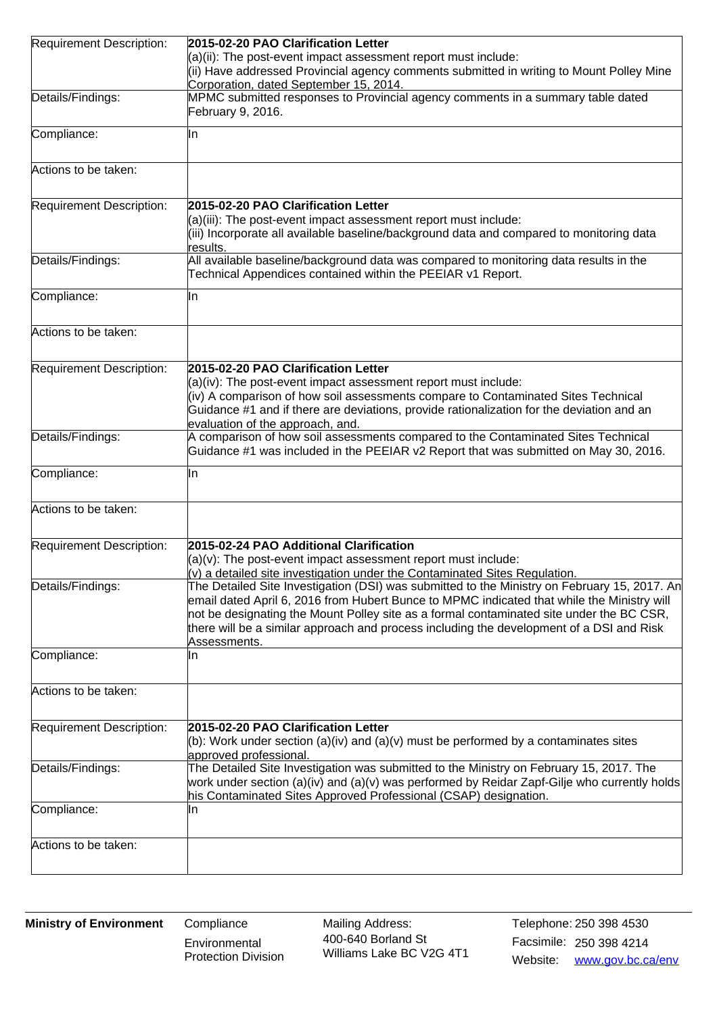| Requirement Description: | 2015-02-20 PAO Clarification Letter                                                                                                                                                                                                                                                                |
|--------------------------|----------------------------------------------------------------------------------------------------------------------------------------------------------------------------------------------------------------------------------------------------------------------------------------------------|
|                          | $(a)(ii)$ : The post-event impact assessment report must include:                                                                                                                                                                                                                                  |
|                          | (ii) Have addressed Provincial agency comments submitted in writing to Mount Polley Mine                                                                                                                                                                                                           |
|                          | Corporation, dated September 15, 2014.<br>MPMC submitted responses to Provincial agency comments in a summary table dated                                                                                                                                                                          |
| Details/Findings:        | February 9, 2016.                                                                                                                                                                                                                                                                                  |
| Compliance:              | lln                                                                                                                                                                                                                                                                                                |
| Actions to be taken:     |                                                                                                                                                                                                                                                                                                    |
|                          |                                                                                                                                                                                                                                                                                                    |
| Requirement Description: | 2015-02-20 PAO Clarification Letter                                                                                                                                                                                                                                                                |
|                          | (a)(iii): The post-event impact assessment report must include:<br>(iii) Incorporate all available baseline/background data and compared to monitoring data                                                                                                                                        |
| Details/Findings:        | results.<br>All available baseline/background data was compared to monitoring data results in the                                                                                                                                                                                                  |
|                          | Technical Appendices contained within the PEEIAR v1 Report.                                                                                                                                                                                                                                        |
| Compliance:              | lln                                                                                                                                                                                                                                                                                                |
| Actions to be taken:     |                                                                                                                                                                                                                                                                                                    |
| Requirement Description: | 2015-02-20 PAO Clarification Letter                                                                                                                                                                                                                                                                |
|                          | $(a)(iv)$ : The post-event impact assessment report must include:                                                                                                                                                                                                                                  |
|                          | (iv) A comparison of how soil assessments compare to Contaminated Sites Technical                                                                                                                                                                                                                  |
|                          | Guidance #1 and if there are deviations, provide rationalization for the deviation and an<br>evaluation of the approach, and.                                                                                                                                                                      |
| Details/Findings:        | A comparison of how soil assessments compared to the Contaminated Sites Technical                                                                                                                                                                                                                  |
|                          | Guidance #1 was included in the PEEIAR v2 Report that was submitted on May 30, 2016.                                                                                                                                                                                                               |
| Compliance:              | IIn                                                                                                                                                                                                                                                                                                |
| Actions to be taken:     |                                                                                                                                                                                                                                                                                                    |
| Requirement Description: | 2015-02-24 PAO Additional Clarification                                                                                                                                                                                                                                                            |
|                          | $(a)(v)$ : The post-event impact assessment report must include:                                                                                                                                                                                                                                   |
| Details/Findings:        | $(v)$ a detailed site investigation under the Contaminated Sites Regulation.<br>The Detailed Site Investigation (DSI) was submitted to the Ministry on February 15, 2017. An                                                                                                                       |
|                          | email dated April 6, 2016 from Hubert Bunce to MPMC indicated that while the Ministry will<br>not be designating the Mount Polley site as a formal contaminated site under the BC CSR,<br>there will be a similar approach and process including the development of a DSI and Risk<br>Assessments. |
| Compliance:              | In                                                                                                                                                                                                                                                                                                 |
| Actions to be taken:     |                                                                                                                                                                                                                                                                                                    |
| Requirement Description: | 2015-02-20 PAO Clarification Letter                                                                                                                                                                                                                                                                |
|                          | (b): Work under section (a)(iv) and (a)(v) must be performed by a contaminates sites<br>approved professional.                                                                                                                                                                                     |
| Details/Findings:        | The Detailed Site Investigation was submitted to the Ministry on February 15, 2017. The                                                                                                                                                                                                            |
|                          | work under section (a)(iv) and (a)(v) was performed by Reidar Zapf-Gilje who currently holds<br>his Contaminated Sites Approved Professional (CSAP) designation.                                                                                                                                   |
| Compliance:              | lln                                                                                                                                                                                                                                                                                                |
| Actions to be taken:     |                                                                                                                                                                                                                                                                                                    |
|                          |                                                                                                                                                                                                                                                                                                    |

**Environmental** Protection Division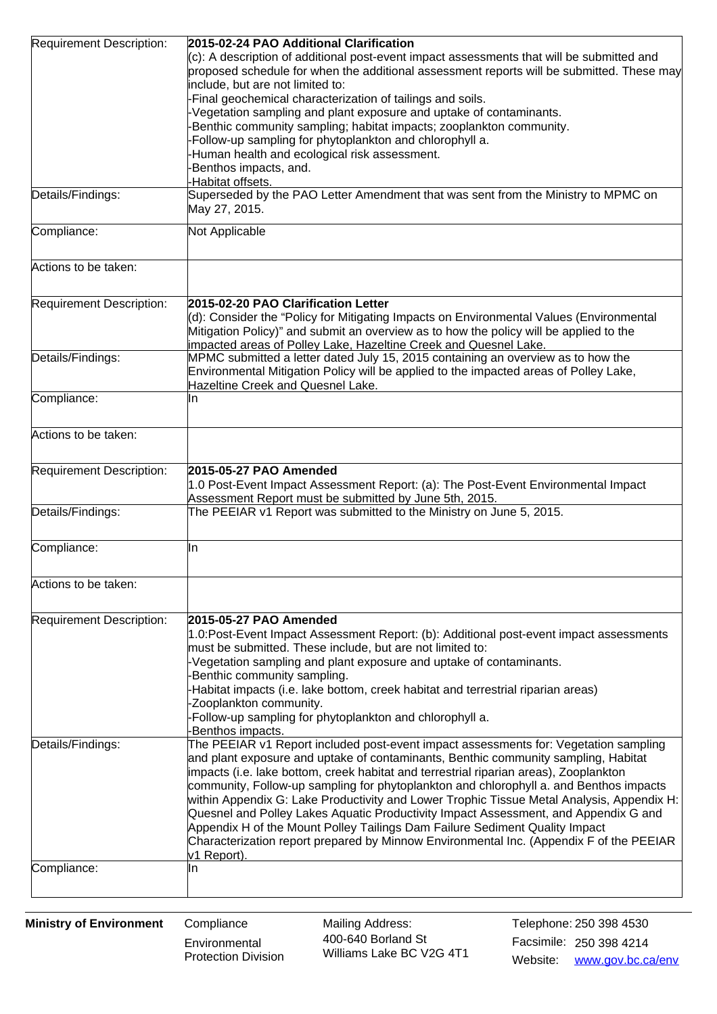| (c): A description of additional post-event impact assessments that will be submitted and<br>proposed schedule for when the additional assessment reports will be submitted. These may<br>include, but are not limited to:<br>Final geochemical characterization of tailings and soils.<br>Vegetation sampling and plant exposure and uptake of contaminants.<br>Benthic community sampling; habitat impacts; zooplankton community.<br>Follow-up sampling for phytoplankton and chlorophyll a.<br>Human health and ecological risk assessment.<br>Benthos impacts, and.<br>Habitat offsets.<br>Superseded by the PAO Letter Amendment that was sent from the Ministry to MPMC on<br>Details/Findings:<br>May 27, 2015.<br>Not Applicable<br>2015-02-20 PAO Clarification Letter<br>Requirement Description:<br>(d): Consider the "Policy for Mitigating Impacts on Environmental Values (Environmental<br>Mitigation Policy)" and submit an overview as to how the policy will be applied to the<br>mpacted areas of Polley Lake, Hazeltine Creek and Quesnel Lake.<br>Details/Findings:<br>MPMC submitted a letter dated July 15, 2015 containing an overview as to how the<br>Environmental Mitigation Policy will be applied to the impacted areas of Polley Lake,<br>Hazeltine Creek and Quesnel Lake.<br>Compliance:<br>In<br>Actions to be taken:<br>Requirement Description:<br>2015-05-27 PAO Amended<br>1.0 Post-Event Impact Assessment Report: (a): The Post-Event Environmental Impact<br>Assessment Report must be submitted by June 5th, 2015.<br>Details/Findings:<br>The PEEIAR v1 Report was submitted to the Ministry on June 5, 2015.<br>Compliance:<br>In<br>Actions to be taken:<br>Requirement Description:<br>2015-05-27 PAO Amended<br>1.0:Post-Event Impact Assessment Report: (b): Additional post-event impact assessments<br>must be submitted. These include, but are not limited to:<br>Vegetation sampling and plant exposure and uptake of contaminants.<br>Benthic community sampling.<br>Habitat impacts (i.e. lake bottom, creek habitat and terrestrial riparian areas)<br>Zooplankton community.<br>Follow-up sampling for phytoplankton and chlorophyll a.<br>Benthos impacts.<br>The PEEIAR v1 Report included post-event impact assessments for: Vegetation sampling<br>Details/Findings:<br>and plant exposure and uptake of contaminants, Benthic community sampling, Habitat<br>impacts (i.e. lake bottom, creek habitat and terrestrial riparian areas), Zooplankton<br>community, Follow-up sampling for phytoplankton and chlorophyll a. and Benthos impacts<br>within Appendix G: Lake Productivity and Lower Trophic Tissue Metal Analysis, Appendix H:<br>Quesnel and Polley Lakes Aquatic Productivity Impact Assessment, and Appendix G and<br>Appendix H of the Mount Polley Tailings Dam Failure Sediment Quality Impact<br>Characterization report prepared by Minnow Environmental Inc. (Appendix F of the PEEIAR<br>v1 Report).<br>Compliance:<br>lln | Requirement Description: | 2015-02-24 PAO Additional Clarification |
|----------------------------------------------------------------------------------------------------------------------------------------------------------------------------------------------------------------------------------------------------------------------------------------------------------------------------------------------------------------------------------------------------------------------------------------------------------------------------------------------------------------------------------------------------------------------------------------------------------------------------------------------------------------------------------------------------------------------------------------------------------------------------------------------------------------------------------------------------------------------------------------------------------------------------------------------------------------------------------------------------------------------------------------------------------------------------------------------------------------------------------------------------------------------------------------------------------------------------------------------------------------------------------------------------------------------------------------------------------------------------------------------------------------------------------------------------------------------------------------------------------------------------------------------------------------------------------------------------------------------------------------------------------------------------------------------------------------------------------------------------------------------------------------------------------------------------------------------------------------------------------------------------------------------------------------------------------------------------------------------------------------------------------------------------------------------------------------------------------------------------------------------------------------------------------------------------------------------------------------------------------------------------------------------------------------------------------------------------------------------------------------------------------------------------------------------------------------------------------------------------------------------------------------------------------------------------------------------------------------------------------------------------------------------------------------------------------------------------------------------------------------------------------------------------------------------------------------------------------------------------------------------------------------------------------------------------------------------------------------------------------------|--------------------------|-----------------------------------------|
|                                                                                                                                                                                                                                                                                                                                                                                                                                                                                                                                                                                                                                                                                                                                                                                                                                                                                                                                                                                                                                                                                                                                                                                                                                                                                                                                                                                                                                                                                                                                                                                                                                                                                                                                                                                                                                                                                                                                                                                                                                                                                                                                                                                                                                                                                                                                                                                                                                                                                                                                                                                                                                                                                                                                                                                                                                                                                                                                                                                                                |                          |                                         |
|                                                                                                                                                                                                                                                                                                                                                                                                                                                                                                                                                                                                                                                                                                                                                                                                                                                                                                                                                                                                                                                                                                                                                                                                                                                                                                                                                                                                                                                                                                                                                                                                                                                                                                                                                                                                                                                                                                                                                                                                                                                                                                                                                                                                                                                                                                                                                                                                                                                                                                                                                                                                                                                                                                                                                                                                                                                                                                                                                                                                                |                          |                                         |
|                                                                                                                                                                                                                                                                                                                                                                                                                                                                                                                                                                                                                                                                                                                                                                                                                                                                                                                                                                                                                                                                                                                                                                                                                                                                                                                                                                                                                                                                                                                                                                                                                                                                                                                                                                                                                                                                                                                                                                                                                                                                                                                                                                                                                                                                                                                                                                                                                                                                                                                                                                                                                                                                                                                                                                                                                                                                                                                                                                                                                |                          |                                         |
|                                                                                                                                                                                                                                                                                                                                                                                                                                                                                                                                                                                                                                                                                                                                                                                                                                                                                                                                                                                                                                                                                                                                                                                                                                                                                                                                                                                                                                                                                                                                                                                                                                                                                                                                                                                                                                                                                                                                                                                                                                                                                                                                                                                                                                                                                                                                                                                                                                                                                                                                                                                                                                                                                                                                                                                                                                                                                                                                                                                                                |                          |                                         |
|                                                                                                                                                                                                                                                                                                                                                                                                                                                                                                                                                                                                                                                                                                                                                                                                                                                                                                                                                                                                                                                                                                                                                                                                                                                                                                                                                                                                                                                                                                                                                                                                                                                                                                                                                                                                                                                                                                                                                                                                                                                                                                                                                                                                                                                                                                                                                                                                                                                                                                                                                                                                                                                                                                                                                                                                                                                                                                                                                                                                                |                          |                                         |
|                                                                                                                                                                                                                                                                                                                                                                                                                                                                                                                                                                                                                                                                                                                                                                                                                                                                                                                                                                                                                                                                                                                                                                                                                                                                                                                                                                                                                                                                                                                                                                                                                                                                                                                                                                                                                                                                                                                                                                                                                                                                                                                                                                                                                                                                                                                                                                                                                                                                                                                                                                                                                                                                                                                                                                                                                                                                                                                                                                                                                |                          |                                         |
|                                                                                                                                                                                                                                                                                                                                                                                                                                                                                                                                                                                                                                                                                                                                                                                                                                                                                                                                                                                                                                                                                                                                                                                                                                                                                                                                                                                                                                                                                                                                                                                                                                                                                                                                                                                                                                                                                                                                                                                                                                                                                                                                                                                                                                                                                                                                                                                                                                                                                                                                                                                                                                                                                                                                                                                                                                                                                                                                                                                                                |                          |                                         |
|                                                                                                                                                                                                                                                                                                                                                                                                                                                                                                                                                                                                                                                                                                                                                                                                                                                                                                                                                                                                                                                                                                                                                                                                                                                                                                                                                                                                                                                                                                                                                                                                                                                                                                                                                                                                                                                                                                                                                                                                                                                                                                                                                                                                                                                                                                                                                                                                                                                                                                                                                                                                                                                                                                                                                                                                                                                                                                                                                                                                                |                          |                                         |
|                                                                                                                                                                                                                                                                                                                                                                                                                                                                                                                                                                                                                                                                                                                                                                                                                                                                                                                                                                                                                                                                                                                                                                                                                                                                                                                                                                                                                                                                                                                                                                                                                                                                                                                                                                                                                                                                                                                                                                                                                                                                                                                                                                                                                                                                                                                                                                                                                                                                                                                                                                                                                                                                                                                                                                                                                                                                                                                                                                                                                |                          |                                         |
|                                                                                                                                                                                                                                                                                                                                                                                                                                                                                                                                                                                                                                                                                                                                                                                                                                                                                                                                                                                                                                                                                                                                                                                                                                                                                                                                                                                                                                                                                                                                                                                                                                                                                                                                                                                                                                                                                                                                                                                                                                                                                                                                                                                                                                                                                                                                                                                                                                                                                                                                                                                                                                                                                                                                                                                                                                                                                                                                                                                                                |                          |                                         |
|                                                                                                                                                                                                                                                                                                                                                                                                                                                                                                                                                                                                                                                                                                                                                                                                                                                                                                                                                                                                                                                                                                                                                                                                                                                                                                                                                                                                                                                                                                                                                                                                                                                                                                                                                                                                                                                                                                                                                                                                                                                                                                                                                                                                                                                                                                                                                                                                                                                                                                                                                                                                                                                                                                                                                                                                                                                                                                                                                                                                                |                          |                                         |
|                                                                                                                                                                                                                                                                                                                                                                                                                                                                                                                                                                                                                                                                                                                                                                                                                                                                                                                                                                                                                                                                                                                                                                                                                                                                                                                                                                                                                                                                                                                                                                                                                                                                                                                                                                                                                                                                                                                                                                                                                                                                                                                                                                                                                                                                                                                                                                                                                                                                                                                                                                                                                                                                                                                                                                                                                                                                                                                                                                                                                |                          |                                         |
|                                                                                                                                                                                                                                                                                                                                                                                                                                                                                                                                                                                                                                                                                                                                                                                                                                                                                                                                                                                                                                                                                                                                                                                                                                                                                                                                                                                                                                                                                                                                                                                                                                                                                                                                                                                                                                                                                                                                                                                                                                                                                                                                                                                                                                                                                                                                                                                                                                                                                                                                                                                                                                                                                                                                                                                                                                                                                                                                                                                                                | Compliance:              |                                         |
|                                                                                                                                                                                                                                                                                                                                                                                                                                                                                                                                                                                                                                                                                                                                                                                                                                                                                                                                                                                                                                                                                                                                                                                                                                                                                                                                                                                                                                                                                                                                                                                                                                                                                                                                                                                                                                                                                                                                                                                                                                                                                                                                                                                                                                                                                                                                                                                                                                                                                                                                                                                                                                                                                                                                                                                                                                                                                                                                                                                                                | Actions to be taken:     |                                         |
|                                                                                                                                                                                                                                                                                                                                                                                                                                                                                                                                                                                                                                                                                                                                                                                                                                                                                                                                                                                                                                                                                                                                                                                                                                                                                                                                                                                                                                                                                                                                                                                                                                                                                                                                                                                                                                                                                                                                                                                                                                                                                                                                                                                                                                                                                                                                                                                                                                                                                                                                                                                                                                                                                                                                                                                                                                                                                                                                                                                                                |                          |                                         |
|                                                                                                                                                                                                                                                                                                                                                                                                                                                                                                                                                                                                                                                                                                                                                                                                                                                                                                                                                                                                                                                                                                                                                                                                                                                                                                                                                                                                                                                                                                                                                                                                                                                                                                                                                                                                                                                                                                                                                                                                                                                                                                                                                                                                                                                                                                                                                                                                                                                                                                                                                                                                                                                                                                                                                                                                                                                                                                                                                                                                                |                          |                                         |
|                                                                                                                                                                                                                                                                                                                                                                                                                                                                                                                                                                                                                                                                                                                                                                                                                                                                                                                                                                                                                                                                                                                                                                                                                                                                                                                                                                                                                                                                                                                                                                                                                                                                                                                                                                                                                                                                                                                                                                                                                                                                                                                                                                                                                                                                                                                                                                                                                                                                                                                                                                                                                                                                                                                                                                                                                                                                                                                                                                                                                |                          |                                         |
|                                                                                                                                                                                                                                                                                                                                                                                                                                                                                                                                                                                                                                                                                                                                                                                                                                                                                                                                                                                                                                                                                                                                                                                                                                                                                                                                                                                                                                                                                                                                                                                                                                                                                                                                                                                                                                                                                                                                                                                                                                                                                                                                                                                                                                                                                                                                                                                                                                                                                                                                                                                                                                                                                                                                                                                                                                                                                                                                                                                                                |                          |                                         |
|                                                                                                                                                                                                                                                                                                                                                                                                                                                                                                                                                                                                                                                                                                                                                                                                                                                                                                                                                                                                                                                                                                                                                                                                                                                                                                                                                                                                                                                                                                                                                                                                                                                                                                                                                                                                                                                                                                                                                                                                                                                                                                                                                                                                                                                                                                                                                                                                                                                                                                                                                                                                                                                                                                                                                                                                                                                                                                                                                                                                                |                          |                                         |
|                                                                                                                                                                                                                                                                                                                                                                                                                                                                                                                                                                                                                                                                                                                                                                                                                                                                                                                                                                                                                                                                                                                                                                                                                                                                                                                                                                                                                                                                                                                                                                                                                                                                                                                                                                                                                                                                                                                                                                                                                                                                                                                                                                                                                                                                                                                                                                                                                                                                                                                                                                                                                                                                                                                                                                                                                                                                                                                                                                                                                |                          |                                         |
|                                                                                                                                                                                                                                                                                                                                                                                                                                                                                                                                                                                                                                                                                                                                                                                                                                                                                                                                                                                                                                                                                                                                                                                                                                                                                                                                                                                                                                                                                                                                                                                                                                                                                                                                                                                                                                                                                                                                                                                                                                                                                                                                                                                                                                                                                                                                                                                                                                                                                                                                                                                                                                                                                                                                                                                                                                                                                                                                                                                                                |                          |                                         |
|                                                                                                                                                                                                                                                                                                                                                                                                                                                                                                                                                                                                                                                                                                                                                                                                                                                                                                                                                                                                                                                                                                                                                                                                                                                                                                                                                                                                                                                                                                                                                                                                                                                                                                                                                                                                                                                                                                                                                                                                                                                                                                                                                                                                                                                                                                                                                                                                                                                                                                                                                                                                                                                                                                                                                                                                                                                                                                                                                                                                                |                          |                                         |
|                                                                                                                                                                                                                                                                                                                                                                                                                                                                                                                                                                                                                                                                                                                                                                                                                                                                                                                                                                                                                                                                                                                                                                                                                                                                                                                                                                                                                                                                                                                                                                                                                                                                                                                                                                                                                                                                                                                                                                                                                                                                                                                                                                                                                                                                                                                                                                                                                                                                                                                                                                                                                                                                                                                                                                                                                                                                                                                                                                                                                |                          |                                         |
|                                                                                                                                                                                                                                                                                                                                                                                                                                                                                                                                                                                                                                                                                                                                                                                                                                                                                                                                                                                                                                                                                                                                                                                                                                                                                                                                                                                                                                                                                                                                                                                                                                                                                                                                                                                                                                                                                                                                                                                                                                                                                                                                                                                                                                                                                                                                                                                                                                                                                                                                                                                                                                                                                                                                                                                                                                                                                                                                                                                                                |                          |                                         |
|                                                                                                                                                                                                                                                                                                                                                                                                                                                                                                                                                                                                                                                                                                                                                                                                                                                                                                                                                                                                                                                                                                                                                                                                                                                                                                                                                                                                                                                                                                                                                                                                                                                                                                                                                                                                                                                                                                                                                                                                                                                                                                                                                                                                                                                                                                                                                                                                                                                                                                                                                                                                                                                                                                                                                                                                                                                                                                                                                                                                                |                          |                                         |
|                                                                                                                                                                                                                                                                                                                                                                                                                                                                                                                                                                                                                                                                                                                                                                                                                                                                                                                                                                                                                                                                                                                                                                                                                                                                                                                                                                                                                                                                                                                                                                                                                                                                                                                                                                                                                                                                                                                                                                                                                                                                                                                                                                                                                                                                                                                                                                                                                                                                                                                                                                                                                                                                                                                                                                                                                                                                                                                                                                                                                |                          |                                         |
|                                                                                                                                                                                                                                                                                                                                                                                                                                                                                                                                                                                                                                                                                                                                                                                                                                                                                                                                                                                                                                                                                                                                                                                                                                                                                                                                                                                                                                                                                                                                                                                                                                                                                                                                                                                                                                                                                                                                                                                                                                                                                                                                                                                                                                                                                                                                                                                                                                                                                                                                                                                                                                                                                                                                                                                                                                                                                                                                                                                                                |                          |                                         |
|                                                                                                                                                                                                                                                                                                                                                                                                                                                                                                                                                                                                                                                                                                                                                                                                                                                                                                                                                                                                                                                                                                                                                                                                                                                                                                                                                                                                                                                                                                                                                                                                                                                                                                                                                                                                                                                                                                                                                                                                                                                                                                                                                                                                                                                                                                                                                                                                                                                                                                                                                                                                                                                                                                                                                                                                                                                                                                                                                                                                                |                          |                                         |
|                                                                                                                                                                                                                                                                                                                                                                                                                                                                                                                                                                                                                                                                                                                                                                                                                                                                                                                                                                                                                                                                                                                                                                                                                                                                                                                                                                                                                                                                                                                                                                                                                                                                                                                                                                                                                                                                                                                                                                                                                                                                                                                                                                                                                                                                                                                                                                                                                                                                                                                                                                                                                                                                                                                                                                                                                                                                                                                                                                                                                |                          |                                         |
|                                                                                                                                                                                                                                                                                                                                                                                                                                                                                                                                                                                                                                                                                                                                                                                                                                                                                                                                                                                                                                                                                                                                                                                                                                                                                                                                                                                                                                                                                                                                                                                                                                                                                                                                                                                                                                                                                                                                                                                                                                                                                                                                                                                                                                                                                                                                                                                                                                                                                                                                                                                                                                                                                                                                                                                                                                                                                                                                                                                                                |                          |                                         |
|                                                                                                                                                                                                                                                                                                                                                                                                                                                                                                                                                                                                                                                                                                                                                                                                                                                                                                                                                                                                                                                                                                                                                                                                                                                                                                                                                                                                                                                                                                                                                                                                                                                                                                                                                                                                                                                                                                                                                                                                                                                                                                                                                                                                                                                                                                                                                                                                                                                                                                                                                                                                                                                                                                                                                                                                                                                                                                                                                                                                                |                          |                                         |
|                                                                                                                                                                                                                                                                                                                                                                                                                                                                                                                                                                                                                                                                                                                                                                                                                                                                                                                                                                                                                                                                                                                                                                                                                                                                                                                                                                                                                                                                                                                                                                                                                                                                                                                                                                                                                                                                                                                                                                                                                                                                                                                                                                                                                                                                                                                                                                                                                                                                                                                                                                                                                                                                                                                                                                                                                                                                                                                                                                                                                |                          |                                         |
|                                                                                                                                                                                                                                                                                                                                                                                                                                                                                                                                                                                                                                                                                                                                                                                                                                                                                                                                                                                                                                                                                                                                                                                                                                                                                                                                                                                                                                                                                                                                                                                                                                                                                                                                                                                                                                                                                                                                                                                                                                                                                                                                                                                                                                                                                                                                                                                                                                                                                                                                                                                                                                                                                                                                                                                                                                                                                                                                                                                                                |                          |                                         |
|                                                                                                                                                                                                                                                                                                                                                                                                                                                                                                                                                                                                                                                                                                                                                                                                                                                                                                                                                                                                                                                                                                                                                                                                                                                                                                                                                                                                                                                                                                                                                                                                                                                                                                                                                                                                                                                                                                                                                                                                                                                                                                                                                                                                                                                                                                                                                                                                                                                                                                                                                                                                                                                                                                                                                                                                                                                                                                                                                                                                                |                          |                                         |
|                                                                                                                                                                                                                                                                                                                                                                                                                                                                                                                                                                                                                                                                                                                                                                                                                                                                                                                                                                                                                                                                                                                                                                                                                                                                                                                                                                                                                                                                                                                                                                                                                                                                                                                                                                                                                                                                                                                                                                                                                                                                                                                                                                                                                                                                                                                                                                                                                                                                                                                                                                                                                                                                                                                                                                                                                                                                                                                                                                                                                |                          |                                         |
|                                                                                                                                                                                                                                                                                                                                                                                                                                                                                                                                                                                                                                                                                                                                                                                                                                                                                                                                                                                                                                                                                                                                                                                                                                                                                                                                                                                                                                                                                                                                                                                                                                                                                                                                                                                                                                                                                                                                                                                                                                                                                                                                                                                                                                                                                                                                                                                                                                                                                                                                                                                                                                                                                                                                                                                                                                                                                                                                                                                                                |                          |                                         |
|                                                                                                                                                                                                                                                                                                                                                                                                                                                                                                                                                                                                                                                                                                                                                                                                                                                                                                                                                                                                                                                                                                                                                                                                                                                                                                                                                                                                                                                                                                                                                                                                                                                                                                                                                                                                                                                                                                                                                                                                                                                                                                                                                                                                                                                                                                                                                                                                                                                                                                                                                                                                                                                                                                                                                                                                                                                                                                                                                                                                                |                          |                                         |
|                                                                                                                                                                                                                                                                                                                                                                                                                                                                                                                                                                                                                                                                                                                                                                                                                                                                                                                                                                                                                                                                                                                                                                                                                                                                                                                                                                                                                                                                                                                                                                                                                                                                                                                                                                                                                                                                                                                                                                                                                                                                                                                                                                                                                                                                                                                                                                                                                                                                                                                                                                                                                                                                                                                                                                                                                                                                                                                                                                                                                |                          |                                         |
|                                                                                                                                                                                                                                                                                                                                                                                                                                                                                                                                                                                                                                                                                                                                                                                                                                                                                                                                                                                                                                                                                                                                                                                                                                                                                                                                                                                                                                                                                                                                                                                                                                                                                                                                                                                                                                                                                                                                                                                                                                                                                                                                                                                                                                                                                                                                                                                                                                                                                                                                                                                                                                                                                                                                                                                                                                                                                                                                                                                                                |                          |                                         |
|                                                                                                                                                                                                                                                                                                                                                                                                                                                                                                                                                                                                                                                                                                                                                                                                                                                                                                                                                                                                                                                                                                                                                                                                                                                                                                                                                                                                                                                                                                                                                                                                                                                                                                                                                                                                                                                                                                                                                                                                                                                                                                                                                                                                                                                                                                                                                                                                                                                                                                                                                                                                                                                                                                                                                                                                                                                                                                                                                                                                                |                          |                                         |
|                                                                                                                                                                                                                                                                                                                                                                                                                                                                                                                                                                                                                                                                                                                                                                                                                                                                                                                                                                                                                                                                                                                                                                                                                                                                                                                                                                                                                                                                                                                                                                                                                                                                                                                                                                                                                                                                                                                                                                                                                                                                                                                                                                                                                                                                                                                                                                                                                                                                                                                                                                                                                                                                                                                                                                                                                                                                                                                                                                                                                |                          |                                         |
|                                                                                                                                                                                                                                                                                                                                                                                                                                                                                                                                                                                                                                                                                                                                                                                                                                                                                                                                                                                                                                                                                                                                                                                                                                                                                                                                                                                                                                                                                                                                                                                                                                                                                                                                                                                                                                                                                                                                                                                                                                                                                                                                                                                                                                                                                                                                                                                                                                                                                                                                                                                                                                                                                                                                                                                                                                                                                                                                                                                                                |                          |                                         |
|                                                                                                                                                                                                                                                                                                                                                                                                                                                                                                                                                                                                                                                                                                                                                                                                                                                                                                                                                                                                                                                                                                                                                                                                                                                                                                                                                                                                                                                                                                                                                                                                                                                                                                                                                                                                                                                                                                                                                                                                                                                                                                                                                                                                                                                                                                                                                                                                                                                                                                                                                                                                                                                                                                                                                                                                                                                                                                                                                                                                                |                          |                                         |
|                                                                                                                                                                                                                                                                                                                                                                                                                                                                                                                                                                                                                                                                                                                                                                                                                                                                                                                                                                                                                                                                                                                                                                                                                                                                                                                                                                                                                                                                                                                                                                                                                                                                                                                                                                                                                                                                                                                                                                                                                                                                                                                                                                                                                                                                                                                                                                                                                                                                                                                                                                                                                                                                                                                                                                                                                                                                                                                                                                                                                |                          |                                         |
|                                                                                                                                                                                                                                                                                                                                                                                                                                                                                                                                                                                                                                                                                                                                                                                                                                                                                                                                                                                                                                                                                                                                                                                                                                                                                                                                                                                                                                                                                                                                                                                                                                                                                                                                                                                                                                                                                                                                                                                                                                                                                                                                                                                                                                                                                                                                                                                                                                                                                                                                                                                                                                                                                                                                                                                                                                                                                                                                                                                                                |                          |                                         |
|                                                                                                                                                                                                                                                                                                                                                                                                                                                                                                                                                                                                                                                                                                                                                                                                                                                                                                                                                                                                                                                                                                                                                                                                                                                                                                                                                                                                                                                                                                                                                                                                                                                                                                                                                                                                                                                                                                                                                                                                                                                                                                                                                                                                                                                                                                                                                                                                                                                                                                                                                                                                                                                                                                                                                                                                                                                                                                                                                                                                                |                          |                                         |
|                                                                                                                                                                                                                                                                                                                                                                                                                                                                                                                                                                                                                                                                                                                                                                                                                                                                                                                                                                                                                                                                                                                                                                                                                                                                                                                                                                                                                                                                                                                                                                                                                                                                                                                                                                                                                                                                                                                                                                                                                                                                                                                                                                                                                                                                                                                                                                                                                                                                                                                                                                                                                                                                                                                                                                                                                                                                                                                                                                                                                |                          |                                         |
|                                                                                                                                                                                                                                                                                                                                                                                                                                                                                                                                                                                                                                                                                                                                                                                                                                                                                                                                                                                                                                                                                                                                                                                                                                                                                                                                                                                                                                                                                                                                                                                                                                                                                                                                                                                                                                                                                                                                                                                                                                                                                                                                                                                                                                                                                                                                                                                                                                                                                                                                                                                                                                                                                                                                                                                                                                                                                                                                                                                                                |                          |                                         |
|                                                                                                                                                                                                                                                                                                                                                                                                                                                                                                                                                                                                                                                                                                                                                                                                                                                                                                                                                                                                                                                                                                                                                                                                                                                                                                                                                                                                                                                                                                                                                                                                                                                                                                                                                                                                                                                                                                                                                                                                                                                                                                                                                                                                                                                                                                                                                                                                                                                                                                                                                                                                                                                                                                                                                                                                                                                                                                                                                                                                                |                          |                                         |
|                                                                                                                                                                                                                                                                                                                                                                                                                                                                                                                                                                                                                                                                                                                                                                                                                                                                                                                                                                                                                                                                                                                                                                                                                                                                                                                                                                                                                                                                                                                                                                                                                                                                                                                                                                                                                                                                                                                                                                                                                                                                                                                                                                                                                                                                                                                                                                                                                                                                                                                                                                                                                                                                                                                                                                                                                                                                                                                                                                                                                |                          |                                         |
|                                                                                                                                                                                                                                                                                                                                                                                                                                                                                                                                                                                                                                                                                                                                                                                                                                                                                                                                                                                                                                                                                                                                                                                                                                                                                                                                                                                                                                                                                                                                                                                                                                                                                                                                                                                                                                                                                                                                                                                                                                                                                                                                                                                                                                                                                                                                                                                                                                                                                                                                                                                                                                                                                                                                                                                                                                                                                                                                                                                                                |                          |                                         |
|                                                                                                                                                                                                                                                                                                                                                                                                                                                                                                                                                                                                                                                                                                                                                                                                                                                                                                                                                                                                                                                                                                                                                                                                                                                                                                                                                                                                                                                                                                                                                                                                                                                                                                                                                                                                                                                                                                                                                                                                                                                                                                                                                                                                                                                                                                                                                                                                                                                                                                                                                                                                                                                                                                                                                                                                                                                                                                                                                                                                                |                          |                                         |
|                                                                                                                                                                                                                                                                                                                                                                                                                                                                                                                                                                                                                                                                                                                                                                                                                                                                                                                                                                                                                                                                                                                                                                                                                                                                                                                                                                                                                                                                                                                                                                                                                                                                                                                                                                                                                                                                                                                                                                                                                                                                                                                                                                                                                                                                                                                                                                                                                                                                                                                                                                                                                                                                                                                                                                                                                                                                                                                                                                                                                |                          |                                         |
|                                                                                                                                                                                                                                                                                                                                                                                                                                                                                                                                                                                                                                                                                                                                                                                                                                                                                                                                                                                                                                                                                                                                                                                                                                                                                                                                                                                                                                                                                                                                                                                                                                                                                                                                                                                                                                                                                                                                                                                                                                                                                                                                                                                                                                                                                                                                                                                                                                                                                                                                                                                                                                                                                                                                                                                                                                                                                                                                                                                                                |                          |                                         |
|                                                                                                                                                                                                                                                                                                                                                                                                                                                                                                                                                                                                                                                                                                                                                                                                                                                                                                                                                                                                                                                                                                                                                                                                                                                                                                                                                                                                                                                                                                                                                                                                                                                                                                                                                                                                                                                                                                                                                                                                                                                                                                                                                                                                                                                                                                                                                                                                                                                                                                                                                                                                                                                                                                                                                                                                                                                                                                                                                                                                                |                          |                                         |
|                                                                                                                                                                                                                                                                                                                                                                                                                                                                                                                                                                                                                                                                                                                                                                                                                                                                                                                                                                                                                                                                                                                                                                                                                                                                                                                                                                                                                                                                                                                                                                                                                                                                                                                                                                                                                                                                                                                                                                                                                                                                                                                                                                                                                                                                                                                                                                                                                                                                                                                                                                                                                                                                                                                                                                                                                                                                                                                                                                                                                |                          |                                         |
|                                                                                                                                                                                                                                                                                                                                                                                                                                                                                                                                                                                                                                                                                                                                                                                                                                                                                                                                                                                                                                                                                                                                                                                                                                                                                                                                                                                                                                                                                                                                                                                                                                                                                                                                                                                                                                                                                                                                                                                                                                                                                                                                                                                                                                                                                                                                                                                                                                                                                                                                                                                                                                                                                                                                                                                                                                                                                                                                                                                                                |                          |                                         |
|                                                                                                                                                                                                                                                                                                                                                                                                                                                                                                                                                                                                                                                                                                                                                                                                                                                                                                                                                                                                                                                                                                                                                                                                                                                                                                                                                                                                                                                                                                                                                                                                                                                                                                                                                                                                                                                                                                                                                                                                                                                                                                                                                                                                                                                                                                                                                                                                                                                                                                                                                                                                                                                                                                                                                                                                                                                                                                                                                                                                                |                          |                                         |
|                                                                                                                                                                                                                                                                                                                                                                                                                                                                                                                                                                                                                                                                                                                                                                                                                                                                                                                                                                                                                                                                                                                                                                                                                                                                                                                                                                                                                                                                                                                                                                                                                                                                                                                                                                                                                                                                                                                                                                                                                                                                                                                                                                                                                                                                                                                                                                                                                                                                                                                                                                                                                                                                                                                                                                                                                                                                                                                                                                                                                |                          |                                         |

**Environmental** Protection Division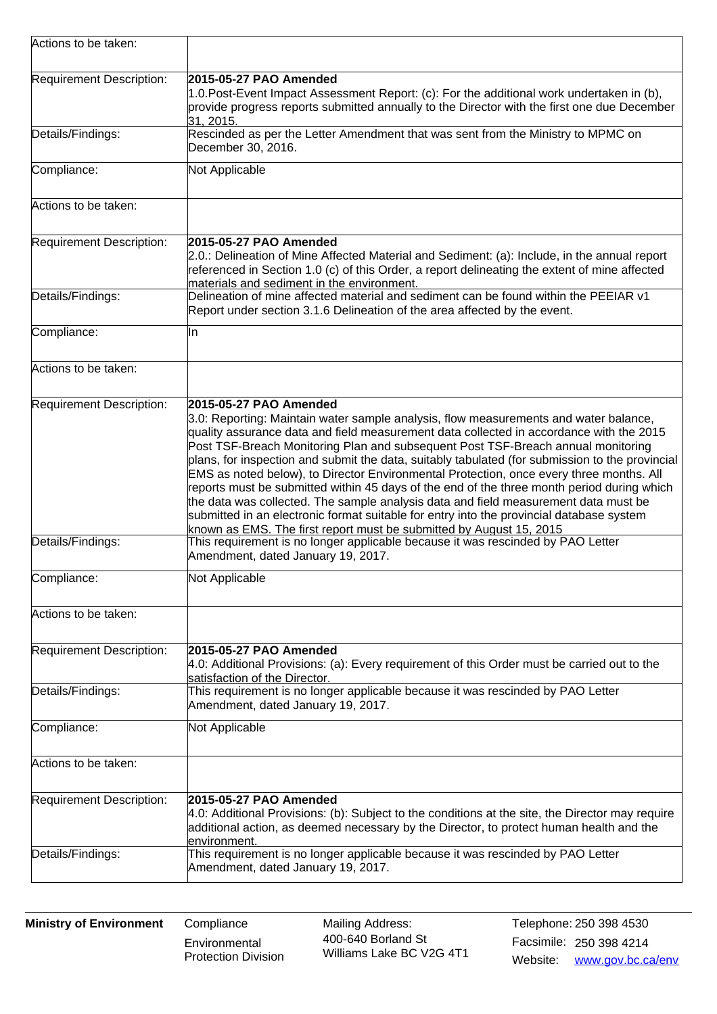| Actions to be taken:     |                                                                                                                                                                                                                                                                                                                                                                                                                                                                                                                                                                                                                                                                                                                                                                                                                                                     |
|--------------------------|-----------------------------------------------------------------------------------------------------------------------------------------------------------------------------------------------------------------------------------------------------------------------------------------------------------------------------------------------------------------------------------------------------------------------------------------------------------------------------------------------------------------------------------------------------------------------------------------------------------------------------------------------------------------------------------------------------------------------------------------------------------------------------------------------------------------------------------------------------|
| Requirement Description: | 2015-05-27 PAO Amended<br>1.0. Post-Event Impact Assessment Report: (c): For the additional work undertaken in (b),<br>provide progress reports submitted annually to the Director with the first one due December<br>31, 2015.                                                                                                                                                                                                                                                                                                                                                                                                                                                                                                                                                                                                                     |
| Details/Findings:        | Rescinded as per the Letter Amendment that was sent from the Ministry to MPMC on<br>December 30, 2016.                                                                                                                                                                                                                                                                                                                                                                                                                                                                                                                                                                                                                                                                                                                                              |
| Compliance:              | Not Applicable                                                                                                                                                                                                                                                                                                                                                                                                                                                                                                                                                                                                                                                                                                                                                                                                                                      |
| Actions to be taken:     |                                                                                                                                                                                                                                                                                                                                                                                                                                                                                                                                                                                                                                                                                                                                                                                                                                                     |
| Requirement Description: | 2015-05-27 PAO Amended<br>2.0.: Delineation of Mine Affected Material and Sediment: (a): Include, in the annual report<br>referenced in Section 1.0 (c) of this Order, a report delineating the extent of mine affected<br>materials and sediment in the environment.                                                                                                                                                                                                                                                                                                                                                                                                                                                                                                                                                                               |
| Details/Findings:        | Delineation of mine affected material and sediment can be found within the PEEIAR v1<br>Report under section 3.1.6 Delineation of the area affected by the event.                                                                                                                                                                                                                                                                                                                                                                                                                                                                                                                                                                                                                                                                                   |
| Compliance:              | lln.                                                                                                                                                                                                                                                                                                                                                                                                                                                                                                                                                                                                                                                                                                                                                                                                                                                |
| Actions to be taken:     |                                                                                                                                                                                                                                                                                                                                                                                                                                                                                                                                                                                                                                                                                                                                                                                                                                                     |
| Requirement Description: | 2015-05-27 PAO Amended<br>3.0: Reporting: Maintain water sample analysis, flow measurements and water balance,<br>quality assurance data and field measurement data collected in accordance with the 2015<br>Post TSF-Breach Monitoring Plan and subsequent Post TSF-Breach annual monitoring<br>plans, for inspection and submit the data, suitably tabulated (for submission to the provincial<br>EMS as noted below), to Director Environmental Protection, once every three months. All<br>reports must be submitted within 45 days of the end of the three month period during which<br>the data was collected. The sample analysis data and field measurement data must be<br>submitted in an electronic format suitable for entry into the provincial database system<br>known as EMS. The first report must be submitted by August 15, 2015 |
| Details/Findings:        | This requirement is no longer applicable because it was rescinded by PAO Letter<br>Amendment, dated January 19, 2017.                                                                                                                                                                                                                                                                                                                                                                                                                                                                                                                                                                                                                                                                                                                               |
| Compliance:              | Not Applicable                                                                                                                                                                                                                                                                                                                                                                                                                                                                                                                                                                                                                                                                                                                                                                                                                                      |
| Actions to be taken:     |                                                                                                                                                                                                                                                                                                                                                                                                                                                                                                                                                                                                                                                                                                                                                                                                                                                     |
| Requirement Description: | 2015-05-27 PAO Amended<br>4.0: Additional Provisions: (a): Every requirement of this Order must be carried out to the<br>satisfaction of the Director.                                                                                                                                                                                                                                                                                                                                                                                                                                                                                                                                                                                                                                                                                              |
| Details/Findings:        | This requirement is no longer applicable because it was rescinded by PAO Letter<br>Amendment, dated January 19, 2017.                                                                                                                                                                                                                                                                                                                                                                                                                                                                                                                                                                                                                                                                                                                               |
| Compliance:              | Not Applicable                                                                                                                                                                                                                                                                                                                                                                                                                                                                                                                                                                                                                                                                                                                                                                                                                                      |
| Actions to be taken:     |                                                                                                                                                                                                                                                                                                                                                                                                                                                                                                                                                                                                                                                                                                                                                                                                                                                     |
| Requirement Description: | 2015-05-27 PAO Amended<br>4.0: Additional Provisions: (b): Subject to the conditions at the site, the Director may require<br>additional action, as deemed necessary by the Director, to protect human health and the<br>environment.                                                                                                                                                                                                                                                                                                                                                                                                                                                                                                                                                                                                               |
| Details/Findings:        | This requirement is no longer applicable because it was rescinded by PAO Letter<br>Amendment, dated January 19, 2017.                                                                                                                                                                                                                                                                                                                                                                                                                                                                                                                                                                                                                                                                                                                               |

**Environmental** Protection Division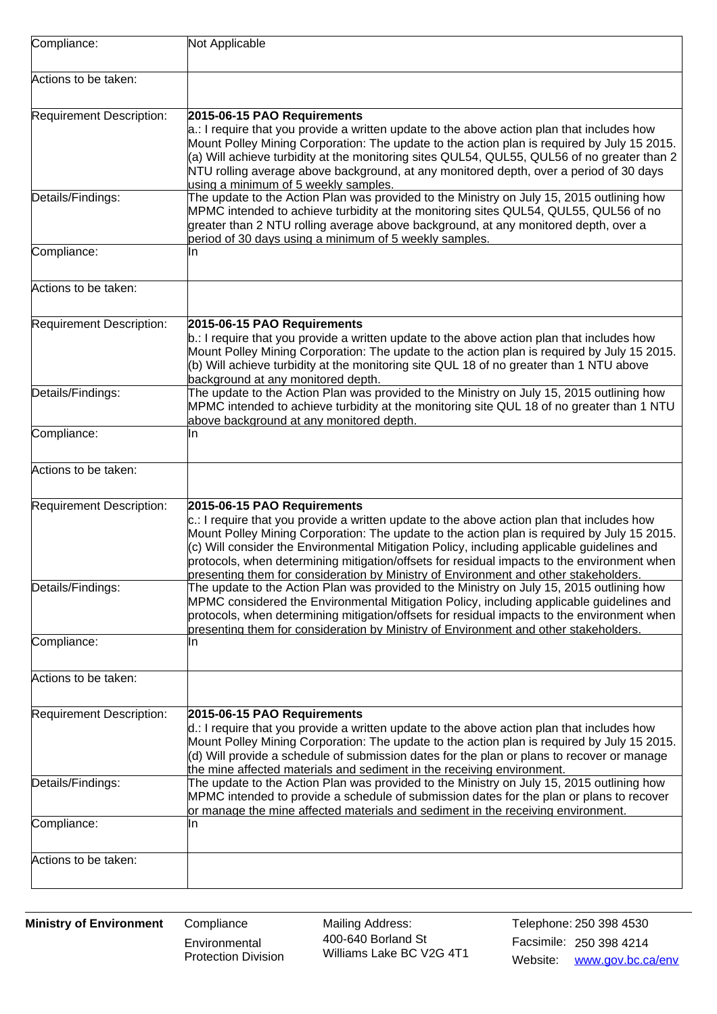| Compliance:              | Not Applicable                                                                                                                                                                                                                                                                                                                                                                                                                                                                                                   |
|--------------------------|------------------------------------------------------------------------------------------------------------------------------------------------------------------------------------------------------------------------------------------------------------------------------------------------------------------------------------------------------------------------------------------------------------------------------------------------------------------------------------------------------------------|
| Actions to be taken:     |                                                                                                                                                                                                                                                                                                                                                                                                                                                                                                                  |
| Requirement Description: | 2015-06-15 PAO Requirements<br>$a$ .: I require that you provide a written update to the above action plan that includes how<br>Mount Polley Mining Corporation: The update to the action plan is required by July 15 2015.<br>(a) Will achieve turbidity at the monitoring sites QUL54, QUL55, QUL56 of no greater than 2<br>NTU rolling average above background, at any monitored depth, over a period of 30 days<br>using a minimum of 5 weekly samples.                                                     |
| Details/Findings:        | The update to the Action Plan was provided to the Ministry on July 15, 2015 outlining how<br>MPMC intended to achieve turbidity at the monitoring sites QUL54, QUL55, QUL56 of no<br>greater than 2 NTU rolling average above background, at any monitored depth, over a<br>period of 30 days using a minimum of 5 weekly samples.                                                                                                                                                                               |
| Compliance:              | In                                                                                                                                                                                                                                                                                                                                                                                                                                                                                                               |
| Actions to be taken:     |                                                                                                                                                                                                                                                                                                                                                                                                                                                                                                                  |
| Requirement Description: | 2015-06-15 PAO Requirements<br>b.: I require that you provide a written update to the above action plan that includes how<br>Mount Polley Mining Corporation: The update to the action plan is required by July 15 2015.<br>(b) Will achieve turbidity at the monitoring site QUL 18 of no greater than 1 NTU above<br>background at any monitored depth.                                                                                                                                                        |
| Details/Findings:        | The update to the Action Plan was provided to the Ministry on July 15, 2015 outlining how<br>MPMC intended to achieve turbidity at the monitoring site QUL 18 of no greater than 1 NTU<br>above background at any monitored depth.                                                                                                                                                                                                                                                                               |
| Compliance:              | In                                                                                                                                                                                                                                                                                                                                                                                                                                                                                                               |
| Actions to be taken:     |                                                                                                                                                                                                                                                                                                                                                                                                                                                                                                                  |
| Requirement Description: | 2015-06-15 PAO Requirements<br>$c$ .: I require that you provide a written update to the above action plan that includes how<br>Mount Polley Mining Corporation: The update to the action plan is required by July 15 2015.<br>(c) Will consider the Environmental Mitigation Policy, including applicable guidelines and<br>protocols, when determining mitigation/offsets for residual impacts to the environment when<br>presenting them for consideration by Ministry of Environment and other stakeholders. |
| Details/Findings:        | The update to the Action Plan was provided to the Ministry on July 15, 2015 outlining how<br>MPMC considered the Environmental Mitigation Policy, including applicable guidelines and<br>protocols, when determining mitigation/offsets for residual impacts to the environment when<br>presenting them for consideration by Ministry of Environment and other stakeholders.                                                                                                                                     |
| Compliance:              | In                                                                                                                                                                                                                                                                                                                                                                                                                                                                                                               |
| Actions to be taken:     |                                                                                                                                                                                                                                                                                                                                                                                                                                                                                                                  |
| Requirement Description: | 2015-06-15 PAO Requirements<br>$d$ .: I require that you provide a written update to the above action plan that includes how<br>Mount Polley Mining Corporation: The update to the action plan is required by July 15 2015.<br>(d) Will provide a schedule of submission dates for the plan or plans to recover or manage<br>the mine affected materials and sediment in the receiving environment.                                                                                                              |
| Details/Findings:        | The update to the Action Plan was provided to the Ministry on July 15, 2015 outlining how<br>MPMC intended to provide a schedule of submission dates for the plan or plans to recover<br>or manage the mine affected materials and sediment in the receiving environment.                                                                                                                                                                                                                                        |
| Compliance:              | In                                                                                                                                                                                                                                                                                                                                                                                                                                                                                                               |
| Actions to be taken:     |                                                                                                                                                                                                                                                                                                                                                                                                                                                                                                                  |

**Environmental** Protection Division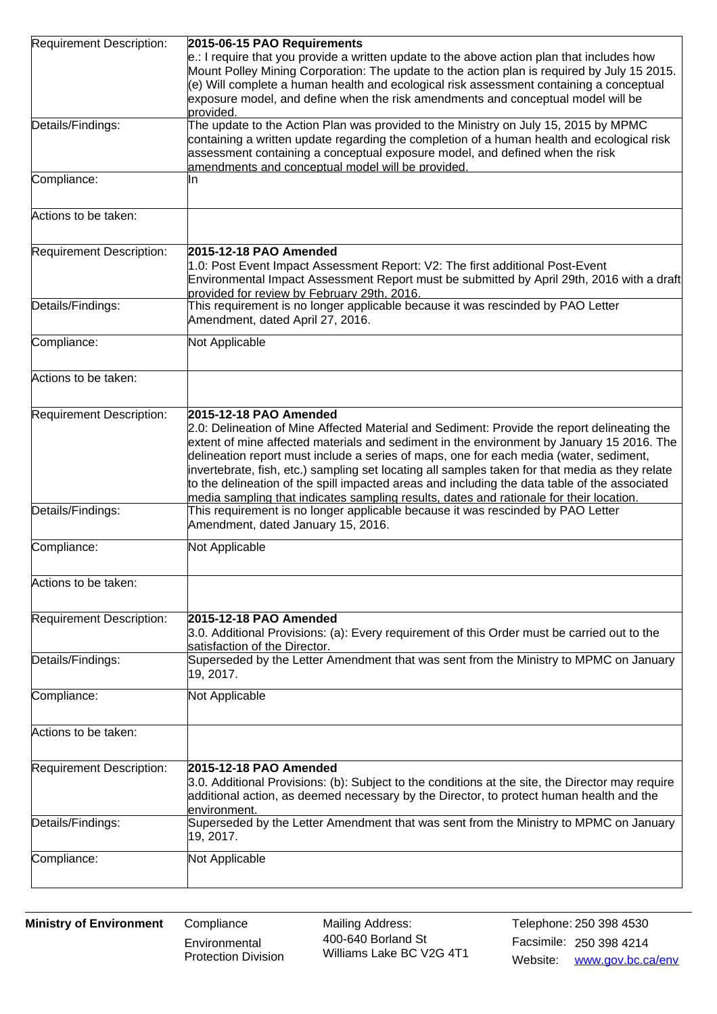| Requirement Description: | 2015-06-15 PAO Requirements                                                                                                                                                                                                                                                                                                                                                                                                                                                                                                                                                                                 |
|--------------------------|-------------------------------------------------------------------------------------------------------------------------------------------------------------------------------------------------------------------------------------------------------------------------------------------------------------------------------------------------------------------------------------------------------------------------------------------------------------------------------------------------------------------------------------------------------------------------------------------------------------|
|                          | $e$ .: I require that you provide a written update to the above action plan that includes how<br>Mount Polley Mining Corporation: The update to the action plan is required by July 15 2015.<br>(e) Will complete a human health and ecological risk assessment containing a conceptual<br>exposure model, and define when the risk amendments and conceptual model will be                                                                                                                                                                                                                                 |
|                          | provided.                                                                                                                                                                                                                                                                                                                                                                                                                                                                                                                                                                                                   |
| Details/Findings:        | The update to the Action Plan was provided to the Ministry on July 15, 2015 by MPMC<br>containing a written update regarding the completion of a human health and ecological risk<br>assessment containing a conceptual exposure model, and defined when the risk<br>amendments and conceptual model will be provided.                                                                                                                                                                                                                                                                                      |
| Compliance:              | ln.                                                                                                                                                                                                                                                                                                                                                                                                                                                                                                                                                                                                         |
| Actions to be taken:     |                                                                                                                                                                                                                                                                                                                                                                                                                                                                                                                                                                                                             |
| Requirement Description: | 2015-12-18 PAO Amended<br>1.0: Post Event Impact Assessment Report: V2: The first additional Post-Event<br>Environmental Impact Assessment Report must be submitted by April 29th, 2016 with a draft                                                                                                                                                                                                                                                                                                                                                                                                        |
|                          | provided for review by February 29th, 2016.                                                                                                                                                                                                                                                                                                                                                                                                                                                                                                                                                                 |
| Details/Findings:        | This requirement is no longer applicable because it was rescinded by PAO Letter<br>Amendment, dated April 27, 2016.                                                                                                                                                                                                                                                                                                                                                                                                                                                                                         |
| Compliance:              | Not Applicable                                                                                                                                                                                                                                                                                                                                                                                                                                                                                                                                                                                              |
| Actions to be taken:     |                                                                                                                                                                                                                                                                                                                                                                                                                                                                                                                                                                                                             |
| Requirement Description: | 2015-12-18 PAO Amended<br>2.0: Delineation of Mine Affected Material and Sediment: Provide the report delineating the<br>extent of mine affected materials and sediment in the environment by January 15 2016. The<br>delineation report must include a series of maps, one for each media (water, sediment,<br>invertebrate, fish, etc.) sampling set locating all samples taken for that media as they relate<br>to the delineation of the spill impacted areas and including the data table of the associated<br>media sampling that indicates sampling results, dates and rationale for their location. |
| Details/Findings:        | This requirement is no longer applicable because it was rescinded by PAO Letter<br>Amendment, dated January 15, 2016.                                                                                                                                                                                                                                                                                                                                                                                                                                                                                       |
| Compliance:              | Not Applicable                                                                                                                                                                                                                                                                                                                                                                                                                                                                                                                                                                                              |
| Actions to be taken:     |                                                                                                                                                                                                                                                                                                                                                                                                                                                                                                                                                                                                             |
|                          | 2015-12-18 PAO Amended                                                                                                                                                                                                                                                                                                                                                                                                                                                                                                                                                                                      |
| Requirement Description: | 3.0. Additional Provisions: (a): Every requirement of this Order must be carried out to the<br>satisfaction of the Director.                                                                                                                                                                                                                                                                                                                                                                                                                                                                                |
| Details/Findings:        | Superseded by the Letter Amendment that was sent from the Ministry to MPMC on January<br>19, 2017.                                                                                                                                                                                                                                                                                                                                                                                                                                                                                                          |
| Compliance:              | Not Applicable                                                                                                                                                                                                                                                                                                                                                                                                                                                                                                                                                                                              |
| Actions to be taken:     |                                                                                                                                                                                                                                                                                                                                                                                                                                                                                                                                                                                                             |
| Requirement Description: | 2015-12-18 PAO Amended<br>3.0. Additional Provisions: (b): Subject to the conditions at the site, the Director may require<br>additional action, as deemed necessary by the Director, to protect human health and the<br>environment.                                                                                                                                                                                                                                                                                                                                                                       |
| Details/Findings:        | Superseded by the Letter Amendment that was sent from the Ministry to MPMC on January<br>19, 2017.                                                                                                                                                                                                                                                                                                                                                                                                                                                                                                          |
| Compliance:              | Not Applicable                                                                                                                                                                                                                                                                                                                                                                                                                                                                                                                                                                                              |
|                          |                                                                                                                                                                                                                                                                                                                                                                                                                                                                                                                                                                                                             |

**Environmental** Protection Division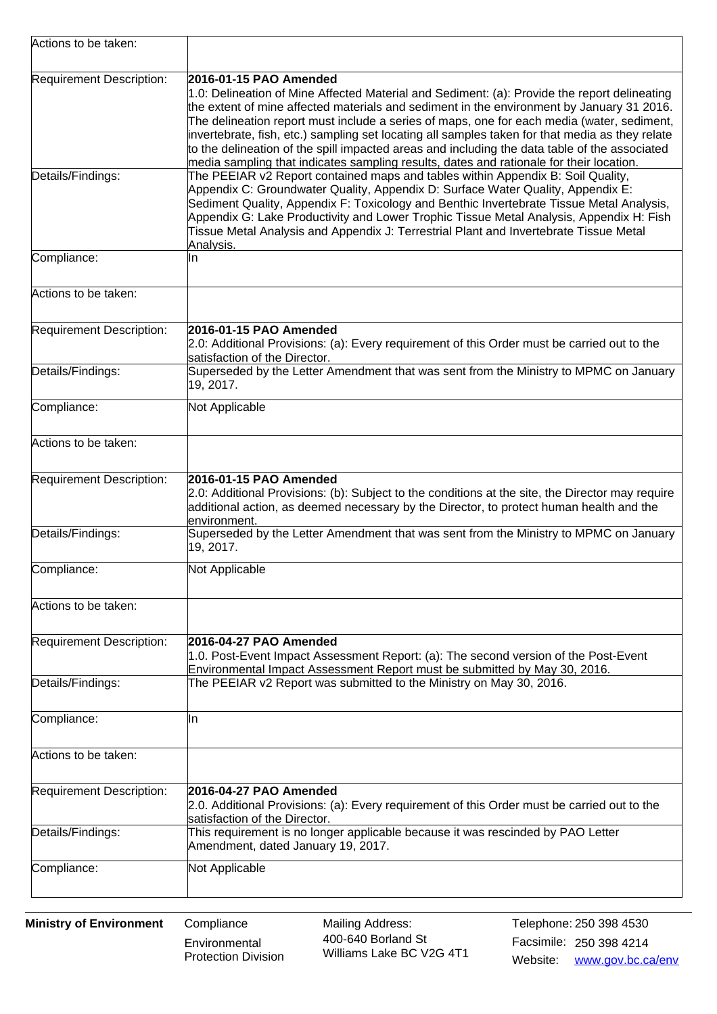| Actions to be taken:     |                                                                                                                                                                                                                                                                                                                                                                                                                                                                                                                                                                                                                  |
|--------------------------|------------------------------------------------------------------------------------------------------------------------------------------------------------------------------------------------------------------------------------------------------------------------------------------------------------------------------------------------------------------------------------------------------------------------------------------------------------------------------------------------------------------------------------------------------------------------------------------------------------------|
| Requirement Description: | 2016-01-15 PAO Amended<br>1.0: Delineation of Mine Affected Material and Sediment: (a): Provide the report delineating<br>the extent of mine affected materials and sediment in the environment by January 31 2016.<br>The delineation report must include a series of maps, one for each media (water, sediment,<br>invertebrate, fish, etc.) sampling set locating all samples taken for that media as they relate<br>to the delineation of the spill impacted areas and including the data table of the associated<br>media sampling that indicates sampling results, dates and rationale for their location. |
| Details/Findings:        | The PEEIAR v2 Report contained maps and tables within Appendix B: Soil Quality,<br>Appendix C: Groundwater Quality, Appendix D: Surface Water Quality, Appendix E:<br>Sediment Quality, Appendix F: Toxicology and Benthic Invertebrate Tissue Metal Analysis,<br>Appendix G: Lake Productivity and Lower Trophic Tissue Metal Analysis, Appendix H: Fish<br>Tissue Metal Analysis and Appendix J: Terrestrial Plant and Invertebrate Tissue Metal<br>Analysis.                                                                                                                                                  |
| Compliance:              | In                                                                                                                                                                                                                                                                                                                                                                                                                                                                                                                                                                                                               |
| Actions to be taken:     |                                                                                                                                                                                                                                                                                                                                                                                                                                                                                                                                                                                                                  |
| Requirement Description: | 2016-01-15 PAO Amended<br>2.0: Additional Provisions: (a): Every requirement of this Order must be carried out to the<br>satisfaction of the Director.                                                                                                                                                                                                                                                                                                                                                                                                                                                           |
| Details/Findings:        | Superseded by the Letter Amendment that was sent from the Ministry to MPMC on January<br>19, 2017.                                                                                                                                                                                                                                                                                                                                                                                                                                                                                                               |
| Compliance:              | Not Applicable                                                                                                                                                                                                                                                                                                                                                                                                                                                                                                                                                                                                   |
| Actions to be taken:     |                                                                                                                                                                                                                                                                                                                                                                                                                                                                                                                                                                                                                  |
| Requirement Description: | 2016-01-15 PAO Amended<br>2.0: Additional Provisions: (b): Subject to the conditions at the site, the Director may require<br>additional action, as deemed necessary by the Director, to protect human health and the<br>environment.                                                                                                                                                                                                                                                                                                                                                                            |
| Details/Findings:        | Superseded by the Letter Amendment that was sent from the Ministry to MPMC on January<br>19, 2017.                                                                                                                                                                                                                                                                                                                                                                                                                                                                                                               |
| Compliance:              | Not Applicable                                                                                                                                                                                                                                                                                                                                                                                                                                                                                                                                                                                                   |
| Actions to be taken:     |                                                                                                                                                                                                                                                                                                                                                                                                                                                                                                                                                                                                                  |
| Requirement Description: | 2016-04-27 PAO Amended<br>1.0. Post-Event Impact Assessment Report: (a): The second version of the Post-Event<br>Environmental Impact Assessment Report must be submitted by May 30, 2016.                                                                                                                                                                                                                                                                                                                                                                                                                       |
| Details/Findings:        | The PEEIAR v2 Report was submitted to the Ministry on May 30, 2016.                                                                                                                                                                                                                                                                                                                                                                                                                                                                                                                                              |
| Compliance:              | IIn                                                                                                                                                                                                                                                                                                                                                                                                                                                                                                                                                                                                              |
| Actions to be taken:     |                                                                                                                                                                                                                                                                                                                                                                                                                                                                                                                                                                                                                  |
| Requirement Description: | 2016-04-27 PAO Amended<br>2.0. Additional Provisions: (a): Every requirement of this Order must be carried out to the<br>satisfaction of the Director.                                                                                                                                                                                                                                                                                                                                                                                                                                                           |
| Details/Findings:        | This requirement is no longer applicable because it was rescinded by PAO Letter<br>Amendment, dated January 19, 2017.                                                                                                                                                                                                                                                                                                                                                                                                                                                                                            |
| Compliance:              | Not Applicable                                                                                                                                                                                                                                                                                                                                                                                                                                                                                                                                                                                                   |

**Environmental** Protection Division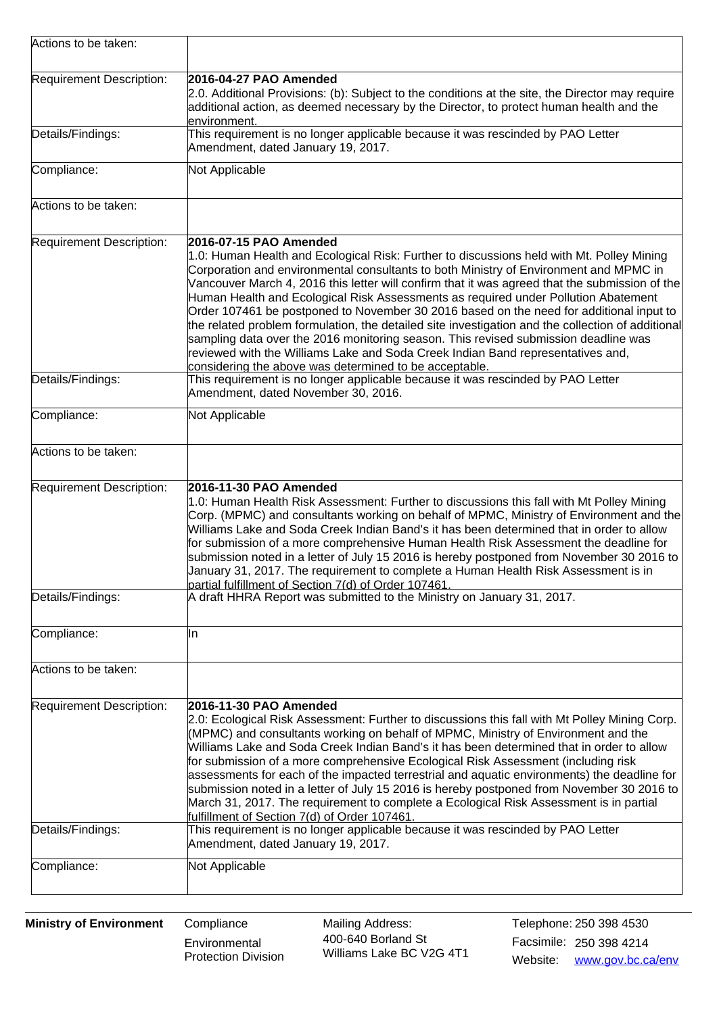| Actions to be taken:     |                                                                                                                                                                                                                                                                                                                                                                                                                                                                                                                                                                                                                                                                                                                                                                                                                                          |
|--------------------------|------------------------------------------------------------------------------------------------------------------------------------------------------------------------------------------------------------------------------------------------------------------------------------------------------------------------------------------------------------------------------------------------------------------------------------------------------------------------------------------------------------------------------------------------------------------------------------------------------------------------------------------------------------------------------------------------------------------------------------------------------------------------------------------------------------------------------------------|
| Requirement Description: | 2016-04-27 PAO Amended<br>2.0. Additional Provisions: (b): Subject to the conditions at the site, the Director may require<br>additional action, as deemed necessary by the Director, to protect human health and the<br>lenvironment.                                                                                                                                                                                                                                                                                                                                                                                                                                                                                                                                                                                                   |
| Details/Findings:        | This requirement is no longer applicable because it was rescinded by PAO Letter<br>Amendment, dated January 19, 2017.                                                                                                                                                                                                                                                                                                                                                                                                                                                                                                                                                                                                                                                                                                                    |
| Compliance:              | Not Applicable                                                                                                                                                                                                                                                                                                                                                                                                                                                                                                                                                                                                                                                                                                                                                                                                                           |
| Actions to be taken:     |                                                                                                                                                                                                                                                                                                                                                                                                                                                                                                                                                                                                                                                                                                                                                                                                                                          |
| Requirement Description: | 2016-07-15 PAO Amended<br>1.0: Human Health and Ecological Risk: Further to discussions held with Mt. Polley Mining<br>Corporation and environmental consultants to both Ministry of Environment and MPMC in<br>Vancouver March 4, 2016 this letter will confirm that it was agreed that the submission of the<br>Human Health and Ecological Risk Assessments as required under Pollution Abatement<br>Order 107461 be postponed to November 30 2016 based on the need for additional input to<br>the related problem formulation, the detailed site investigation and the collection of additional<br>sampling data over the 2016 monitoring season. This revised submission deadline was<br>reviewed with the Williams Lake and Soda Creek Indian Band representatives and,<br>considering the above was determined to be acceptable. |
| Details/Findings:        | This requirement is no longer applicable because it was rescinded by PAO Letter<br>Amendment, dated November 30, 2016.                                                                                                                                                                                                                                                                                                                                                                                                                                                                                                                                                                                                                                                                                                                   |
| Compliance:              | Not Applicable                                                                                                                                                                                                                                                                                                                                                                                                                                                                                                                                                                                                                                                                                                                                                                                                                           |
| Actions to be taken:     |                                                                                                                                                                                                                                                                                                                                                                                                                                                                                                                                                                                                                                                                                                                                                                                                                                          |
| Requirement Description: | 2016-11-30 PAO Amended<br>1.0: Human Health Risk Assessment: Further to discussions this fall with Mt Polley Mining<br>Corp. (MPMC) and consultants working on behalf of MPMC, Ministry of Environment and the<br>Williams Lake and Soda Creek Indian Band's it has been determined that in order to allow<br>for submission of a more comprehensive Human Health Risk Assessment the deadline for<br>submission noted in a letter of July 15 2016 is hereby postponed from November 30 2016 to<br>January 31, 2017. The requirement to complete a Human Health Risk Assessment is in<br>partial fulfillment of Section 7(d) of Order 107461.                                                                                                                                                                                            |
| Details/Findings:        | A draft HHRA Report was submitted to the Ministry on January 31, 2017.                                                                                                                                                                                                                                                                                                                                                                                                                                                                                                                                                                                                                                                                                                                                                                   |
| Compliance:              | IIn                                                                                                                                                                                                                                                                                                                                                                                                                                                                                                                                                                                                                                                                                                                                                                                                                                      |
| Actions to be taken:     |                                                                                                                                                                                                                                                                                                                                                                                                                                                                                                                                                                                                                                                                                                                                                                                                                                          |
| Requirement Description: | 2016-11-30 PAO Amended<br>2.0: Ecological Risk Assessment: Further to discussions this fall with Mt Polley Mining Corp.<br>(MPMC) and consultants working on behalf of MPMC, Ministry of Environment and the<br>Williams Lake and Soda Creek Indian Band's it has been determined that in order to allow<br>for submission of a more comprehensive Ecological Risk Assessment (including risk<br>assessments for each of the impacted terrestrial and aquatic environments) the deadline for<br>submission noted in a letter of July 15 2016 is hereby postponed from November 30 2016 to<br>March 31, 2017. The requirement to complete a Ecological Risk Assessment is in partial<br>fulfillment of Section 7(d) of Order 107461.                                                                                                      |
| Details/Findings:        | This requirement is no longer applicable because it was rescinded by PAO Letter<br>Amendment, dated January 19, 2017.                                                                                                                                                                                                                                                                                                                                                                                                                                                                                                                                                                                                                                                                                                                    |
| Compliance:              | Not Applicable                                                                                                                                                                                                                                                                                                                                                                                                                                                                                                                                                                                                                                                                                                                                                                                                                           |

**Environmental** Protection Division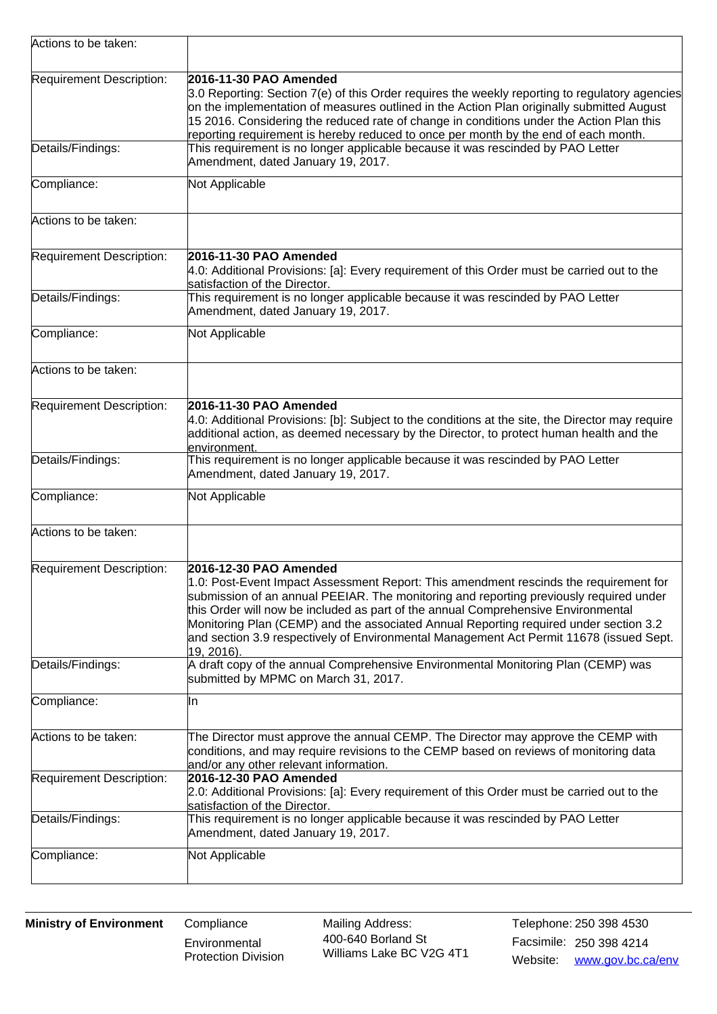| Requirement Description:<br>2016-11-30 PAO Amended<br>on the implementation of measures outlined in the Action Plan originally submitted August<br>15 2016. Considering the reduced rate of change in conditions under the Action Plan this<br>reporting requirement is hereby reduced to once per month by the end of each month.<br>This requirement is no longer applicable because it was rescinded by PAO Letter<br>Details/Findings:<br>Amendment, dated January 19, 2017.<br>Compliance:<br>Not Applicable<br>Actions to be taken:<br>Requirement Description:<br>2016-11-30 PAO Amended<br>4.0: Additional Provisions: [a]: Every requirement of this Order must be carried out to the<br>satisfaction of the Director.<br>This requirement is no longer applicable because it was rescinded by PAO Letter<br>Details/Findings:<br>Amendment, dated January 19, 2017.<br>Compliance:<br>Not Applicable<br>Actions to be taken:<br>Requirement Description:<br>2016-11-30 PAO Amended<br>4.0: Additional Provisions: [b]: Subject to the conditions at the site, the Director may require<br>additional action, as deemed necessary by the Director, to protect human health and the<br>environment.<br>This requirement is no longer applicable because it was rescinded by PAO Letter<br>Details/Findings:<br>Amendment, dated January 19, 2017.<br>Compliance:<br>Not Applicable<br>Actions to be taken:<br>2016-12-30 PAO Amended<br>Requirement Description:<br>1.0: Post-Event Impact Assessment Report: This amendment rescinds the requirement for<br>submission of an annual PEEIAR. The monitoring and reporting previously required under<br>this Order will now be included as part of the annual Comprehensive Environmental<br>Monitoring Plan (CEMP) and the associated Annual Reporting required under section 3.2<br>and section 3.9 respectively of Environmental Management Act Permit 11678 (issued Sept.<br>19, 2016).<br>A draft copy of the annual Comprehensive Environmental Monitoring Plan (CEMP) was<br>Details/Findings:<br>submitted by MPMC on March 31, 2017.<br>Compliance:<br>ΙIη<br>Actions to be taken:<br>The Director must approve the annual CEMP. The Director may approve the CEMP with<br>conditions, and may require revisions to the CEMP based on reviews of monitoring data<br>and/or any other relevant information.<br>2016-12-30 PAO Amended<br>Requirement Description:<br>2.0: Additional Provisions: [a]: Every requirement of this Order must be carried out to the<br>satisfaction of the Director.<br>This requirement is no longer applicable because it was rescinded by PAO Letter<br>Details/Findings:<br>Amendment, dated January 19, 2017.<br>Compliance:<br>Not Applicable | Actions to be taken: |                                                                                                |  |  |  |  |
|-------------------------------------------------------------------------------------------------------------------------------------------------------------------------------------------------------------------------------------------------------------------------------------------------------------------------------------------------------------------------------------------------------------------------------------------------------------------------------------------------------------------------------------------------------------------------------------------------------------------------------------------------------------------------------------------------------------------------------------------------------------------------------------------------------------------------------------------------------------------------------------------------------------------------------------------------------------------------------------------------------------------------------------------------------------------------------------------------------------------------------------------------------------------------------------------------------------------------------------------------------------------------------------------------------------------------------------------------------------------------------------------------------------------------------------------------------------------------------------------------------------------------------------------------------------------------------------------------------------------------------------------------------------------------------------------------------------------------------------------------------------------------------------------------------------------------------------------------------------------------------------------------------------------------------------------------------------------------------------------------------------------------------------------------------------------------------------------------------------------------------------------------------------------------------------------------------------------------------------------------------------------------------------------------------------------------------------------------------------------------------------------------------------------------------------------------------------------------------------------------------------------------------------------------------------------------------------------------------------------------------------------------------------------------------------------------------------------------------------------------|----------------------|------------------------------------------------------------------------------------------------|--|--|--|--|
|                                                                                                                                                                                                                                                                                                                                                                                                                                                                                                                                                                                                                                                                                                                                                                                                                                                                                                                                                                                                                                                                                                                                                                                                                                                                                                                                                                                                                                                                                                                                                                                                                                                                                                                                                                                                                                                                                                                                                                                                                                                                                                                                                                                                                                                                                                                                                                                                                                                                                                                                                                                                                                                                                                                                                 |                      | 3.0 Reporting: Section 7(e) of this Order requires the weekly reporting to regulatory agencies |  |  |  |  |
|                                                                                                                                                                                                                                                                                                                                                                                                                                                                                                                                                                                                                                                                                                                                                                                                                                                                                                                                                                                                                                                                                                                                                                                                                                                                                                                                                                                                                                                                                                                                                                                                                                                                                                                                                                                                                                                                                                                                                                                                                                                                                                                                                                                                                                                                                                                                                                                                                                                                                                                                                                                                                                                                                                                                                 |                      |                                                                                                |  |  |  |  |
|                                                                                                                                                                                                                                                                                                                                                                                                                                                                                                                                                                                                                                                                                                                                                                                                                                                                                                                                                                                                                                                                                                                                                                                                                                                                                                                                                                                                                                                                                                                                                                                                                                                                                                                                                                                                                                                                                                                                                                                                                                                                                                                                                                                                                                                                                                                                                                                                                                                                                                                                                                                                                                                                                                                                                 |                      |                                                                                                |  |  |  |  |
|                                                                                                                                                                                                                                                                                                                                                                                                                                                                                                                                                                                                                                                                                                                                                                                                                                                                                                                                                                                                                                                                                                                                                                                                                                                                                                                                                                                                                                                                                                                                                                                                                                                                                                                                                                                                                                                                                                                                                                                                                                                                                                                                                                                                                                                                                                                                                                                                                                                                                                                                                                                                                                                                                                                                                 |                      |                                                                                                |  |  |  |  |
|                                                                                                                                                                                                                                                                                                                                                                                                                                                                                                                                                                                                                                                                                                                                                                                                                                                                                                                                                                                                                                                                                                                                                                                                                                                                                                                                                                                                                                                                                                                                                                                                                                                                                                                                                                                                                                                                                                                                                                                                                                                                                                                                                                                                                                                                                                                                                                                                                                                                                                                                                                                                                                                                                                                                                 |                      |                                                                                                |  |  |  |  |
|                                                                                                                                                                                                                                                                                                                                                                                                                                                                                                                                                                                                                                                                                                                                                                                                                                                                                                                                                                                                                                                                                                                                                                                                                                                                                                                                                                                                                                                                                                                                                                                                                                                                                                                                                                                                                                                                                                                                                                                                                                                                                                                                                                                                                                                                                                                                                                                                                                                                                                                                                                                                                                                                                                                                                 |                      |                                                                                                |  |  |  |  |
|                                                                                                                                                                                                                                                                                                                                                                                                                                                                                                                                                                                                                                                                                                                                                                                                                                                                                                                                                                                                                                                                                                                                                                                                                                                                                                                                                                                                                                                                                                                                                                                                                                                                                                                                                                                                                                                                                                                                                                                                                                                                                                                                                                                                                                                                                                                                                                                                                                                                                                                                                                                                                                                                                                                                                 |                      |                                                                                                |  |  |  |  |
|                                                                                                                                                                                                                                                                                                                                                                                                                                                                                                                                                                                                                                                                                                                                                                                                                                                                                                                                                                                                                                                                                                                                                                                                                                                                                                                                                                                                                                                                                                                                                                                                                                                                                                                                                                                                                                                                                                                                                                                                                                                                                                                                                                                                                                                                                                                                                                                                                                                                                                                                                                                                                                                                                                                                                 |                      |                                                                                                |  |  |  |  |
|                                                                                                                                                                                                                                                                                                                                                                                                                                                                                                                                                                                                                                                                                                                                                                                                                                                                                                                                                                                                                                                                                                                                                                                                                                                                                                                                                                                                                                                                                                                                                                                                                                                                                                                                                                                                                                                                                                                                                                                                                                                                                                                                                                                                                                                                                                                                                                                                                                                                                                                                                                                                                                                                                                                                                 |                      |                                                                                                |  |  |  |  |
|                                                                                                                                                                                                                                                                                                                                                                                                                                                                                                                                                                                                                                                                                                                                                                                                                                                                                                                                                                                                                                                                                                                                                                                                                                                                                                                                                                                                                                                                                                                                                                                                                                                                                                                                                                                                                                                                                                                                                                                                                                                                                                                                                                                                                                                                                                                                                                                                                                                                                                                                                                                                                                                                                                                                                 |                      |                                                                                                |  |  |  |  |
|                                                                                                                                                                                                                                                                                                                                                                                                                                                                                                                                                                                                                                                                                                                                                                                                                                                                                                                                                                                                                                                                                                                                                                                                                                                                                                                                                                                                                                                                                                                                                                                                                                                                                                                                                                                                                                                                                                                                                                                                                                                                                                                                                                                                                                                                                                                                                                                                                                                                                                                                                                                                                                                                                                                                                 |                      |                                                                                                |  |  |  |  |
|                                                                                                                                                                                                                                                                                                                                                                                                                                                                                                                                                                                                                                                                                                                                                                                                                                                                                                                                                                                                                                                                                                                                                                                                                                                                                                                                                                                                                                                                                                                                                                                                                                                                                                                                                                                                                                                                                                                                                                                                                                                                                                                                                                                                                                                                                                                                                                                                                                                                                                                                                                                                                                                                                                                                                 |                      |                                                                                                |  |  |  |  |
|                                                                                                                                                                                                                                                                                                                                                                                                                                                                                                                                                                                                                                                                                                                                                                                                                                                                                                                                                                                                                                                                                                                                                                                                                                                                                                                                                                                                                                                                                                                                                                                                                                                                                                                                                                                                                                                                                                                                                                                                                                                                                                                                                                                                                                                                                                                                                                                                                                                                                                                                                                                                                                                                                                                                                 |                      |                                                                                                |  |  |  |  |
|                                                                                                                                                                                                                                                                                                                                                                                                                                                                                                                                                                                                                                                                                                                                                                                                                                                                                                                                                                                                                                                                                                                                                                                                                                                                                                                                                                                                                                                                                                                                                                                                                                                                                                                                                                                                                                                                                                                                                                                                                                                                                                                                                                                                                                                                                                                                                                                                                                                                                                                                                                                                                                                                                                                                                 |                      |                                                                                                |  |  |  |  |
|                                                                                                                                                                                                                                                                                                                                                                                                                                                                                                                                                                                                                                                                                                                                                                                                                                                                                                                                                                                                                                                                                                                                                                                                                                                                                                                                                                                                                                                                                                                                                                                                                                                                                                                                                                                                                                                                                                                                                                                                                                                                                                                                                                                                                                                                                                                                                                                                                                                                                                                                                                                                                                                                                                                                                 |                      |                                                                                                |  |  |  |  |
|                                                                                                                                                                                                                                                                                                                                                                                                                                                                                                                                                                                                                                                                                                                                                                                                                                                                                                                                                                                                                                                                                                                                                                                                                                                                                                                                                                                                                                                                                                                                                                                                                                                                                                                                                                                                                                                                                                                                                                                                                                                                                                                                                                                                                                                                                                                                                                                                                                                                                                                                                                                                                                                                                                                                                 |                      |                                                                                                |  |  |  |  |
|                                                                                                                                                                                                                                                                                                                                                                                                                                                                                                                                                                                                                                                                                                                                                                                                                                                                                                                                                                                                                                                                                                                                                                                                                                                                                                                                                                                                                                                                                                                                                                                                                                                                                                                                                                                                                                                                                                                                                                                                                                                                                                                                                                                                                                                                                                                                                                                                                                                                                                                                                                                                                                                                                                                                                 |                      |                                                                                                |  |  |  |  |
|                                                                                                                                                                                                                                                                                                                                                                                                                                                                                                                                                                                                                                                                                                                                                                                                                                                                                                                                                                                                                                                                                                                                                                                                                                                                                                                                                                                                                                                                                                                                                                                                                                                                                                                                                                                                                                                                                                                                                                                                                                                                                                                                                                                                                                                                                                                                                                                                                                                                                                                                                                                                                                                                                                                                                 |                      |                                                                                                |  |  |  |  |
|                                                                                                                                                                                                                                                                                                                                                                                                                                                                                                                                                                                                                                                                                                                                                                                                                                                                                                                                                                                                                                                                                                                                                                                                                                                                                                                                                                                                                                                                                                                                                                                                                                                                                                                                                                                                                                                                                                                                                                                                                                                                                                                                                                                                                                                                                                                                                                                                                                                                                                                                                                                                                                                                                                                                                 |                      |                                                                                                |  |  |  |  |

**Environmental** Protection Division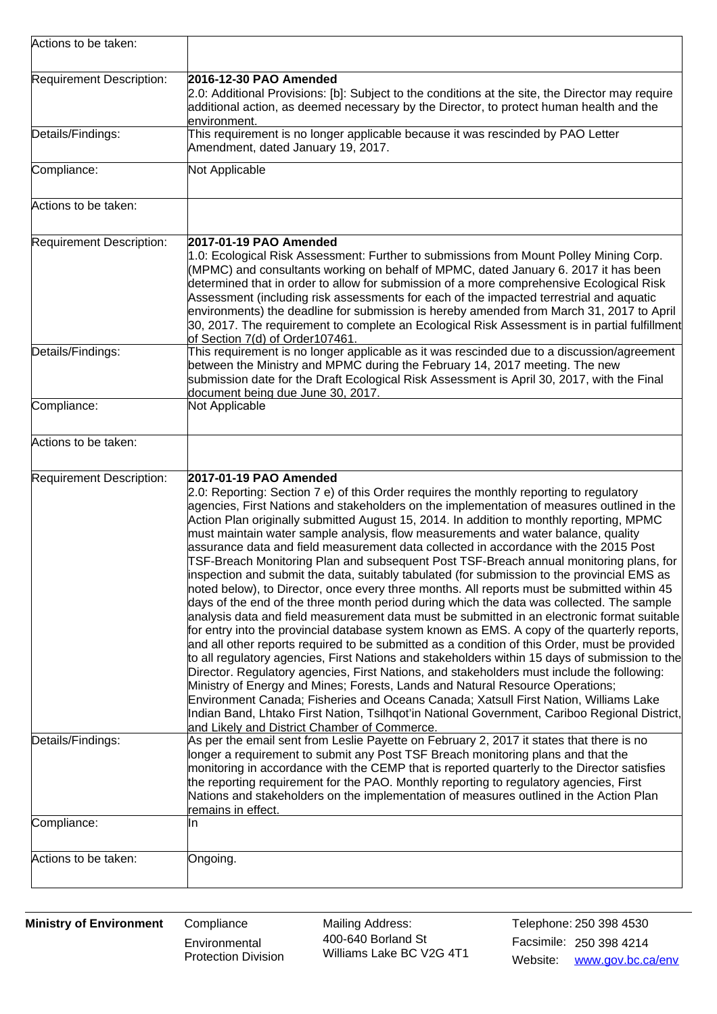| Actions to be taken:                          |                                                                                                                                                                                                                                                                                                                                                                                                                                                                                                                                                                                                                                                                                                                                                                                                                                                                                                                                                                                                                                                                                                                                                                                                                                                                                                                                                                                                                                                                                                                                                                                                                                                                                                                                                                                                                                                                                         |  |  |  |  |
|-----------------------------------------------|-----------------------------------------------------------------------------------------------------------------------------------------------------------------------------------------------------------------------------------------------------------------------------------------------------------------------------------------------------------------------------------------------------------------------------------------------------------------------------------------------------------------------------------------------------------------------------------------------------------------------------------------------------------------------------------------------------------------------------------------------------------------------------------------------------------------------------------------------------------------------------------------------------------------------------------------------------------------------------------------------------------------------------------------------------------------------------------------------------------------------------------------------------------------------------------------------------------------------------------------------------------------------------------------------------------------------------------------------------------------------------------------------------------------------------------------------------------------------------------------------------------------------------------------------------------------------------------------------------------------------------------------------------------------------------------------------------------------------------------------------------------------------------------------------------------------------------------------------------------------------------------------|--|--|--|--|
| Requirement Description:                      | 2016-12-30 PAO Amended<br>2.0: Additional Provisions: [b]: Subject to the conditions at the site, the Director may require<br>additional action, as deemed necessary by the Director, to protect human health and the<br>lenvironment.                                                                                                                                                                                                                                                                                                                                                                                                                                                                                                                                                                                                                                                                                                                                                                                                                                                                                                                                                                                                                                                                                                                                                                                                                                                                                                                                                                                                                                                                                                                                                                                                                                                  |  |  |  |  |
| Details/Findings:                             | This requirement is no longer applicable because it was rescinded by PAO Letter<br>Amendment, dated January 19, 2017.                                                                                                                                                                                                                                                                                                                                                                                                                                                                                                                                                                                                                                                                                                                                                                                                                                                                                                                                                                                                                                                                                                                                                                                                                                                                                                                                                                                                                                                                                                                                                                                                                                                                                                                                                                   |  |  |  |  |
| Compliance:                                   | Not Applicable                                                                                                                                                                                                                                                                                                                                                                                                                                                                                                                                                                                                                                                                                                                                                                                                                                                                                                                                                                                                                                                                                                                                                                                                                                                                                                                                                                                                                                                                                                                                                                                                                                                                                                                                                                                                                                                                          |  |  |  |  |
| Actions to be taken:                          |                                                                                                                                                                                                                                                                                                                                                                                                                                                                                                                                                                                                                                                                                                                                                                                                                                                                                                                                                                                                                                                                                                                                                                                                                                                                                                                                                                                                                                                                                                                                                                                                                                                                                                                                                                                                                                                                                         |  |  |  |  |
| Requirement Description:                      | 2017-01-19 PAO Amended<br>1.0: Ecological Risk Assessment: Further to submissions from Mount Polley Mining Corp.<br>(MPMC) and consultants working on behalf of MPMC, dated January 6. 2017 it has been<br>determined that in order to allow for submission of a more comprehensive Ecological Risk<br>Assessment (including risk assessments for each of the impacted terrestrial and aquatic<br>environments) the deadline for submission is hereby amended from March 31, 2017 to April<br>30, 2017. The requirement to complete an Ecological Risk Assessment is in partial fulfillment<br>of Section 7(d) of Order107461.                                                                                                                                                                                                                                                                                                                                                                                                                                                                                                                                                                                                                                                                                                                                                                                                                                                                                                                                                                                                                                                                                                                                                                                                                                                          |  |  |  |  |
| Details/Findings:                             | This requirement is no longer applicable as it was rescinded due to a discussion/agreement<br>between the Ministry and MPMC during the February 14, 2017 meeting. The new<br>submission date for the Draft Ecological Risk Assessment is April 30, 2017, with the Final<br>document being due June 30, 2017.                                                                                                                                                                                                                                                                                                                                                                                                                                                                                                                                                                                                                                                                                                                                                                                                                                                                                                                                                                                                                                                                                                                                                                                                                                                                                                                                                                                                                                                                                                                                                                            |  |  |  |  |
| Compliance:                                   | Not Applicable                                                                                                                                                                                                                                                                                                                                                                                                                                                                                                                                                                                                                                                                                                                                                                                                                                                                                                                                                                                                                                                                                                                                                                                                                                                                                                                                                                                                                                                                                                                                                                                                                                                                                                                                                                                                                                                                          |  |  |  |  |
| Actions to be taken:                          |                                                                                                                                                                                                                                                                                                                                                                                                                                                                                                                                                                                                                                                                                                                                                                                                                                                                                                                                                                                                                                                                                                                                                                                                                                                                                                                                                                                                                                                                                                                                                                                                                                                                                                                                                                                                                                                                                         |  |  |  |  |
| Requirement Description:<br>Details/Findings: | 2017-01-19 PAO Amended<br>2.0: Reporting: Section 7 e) of this Order requires the monthly reporting to regulatory<br>agencies, First Nations and stakeholders on the implementation of measures outlined in the<br>Action Plan originally submitted August 15, 2014. In addition to monthly reporting, MPMC<br>must maintain water sample analysis, flow measurements and water balance, quality<br>assurance data and field measurement data collected in accordance with the 2015 Post<br>TSF-Breach Monitoring Plan and subsequent Post TSF-Breach annual monitoring plans, for<br>inspection and submit the data, suitably tabulated (for submission to the provincial EMS as<br>noted below), to Director, once every three months. All reports must be submitted within 45<br>days of the end of the three month period during which the data was collected. The sample<br>analysis data and field measurement data must be submitted in an electronic format suitable<br>for entry into the provincial database system known as EMS. A copy of the quarterly reports,<br>and all other reports required to be submitted as a condition of this Order, must be provided<br>to all regulatory agencies, First Nations and stakeholders within 15 days of submission to the<br>Director. Regulatory agencies, First Nations, and stakeholders must include the following:<br>Ministry of Energy and Mines; Forests, Lands and Natural Resource Operations;<br>Environment Canada; Fisheries and Oceans Canada; Xatsull First Nation, Williams Lake<br>Indian Band, Lhtako First Nation, Tsilhqot'in National Government, Cariboo Regional District,<br>and Likely and District Chamber of Commerce.<br>As per the email sent from Leslie Payette on February 2, 2017 it states that there is no<br>longer a requirement to submit any Post TSF Breach monitoring plans and that the |  |  |  |  |
|                                               | monitoring in accordance with the CEMP that is reported quarterly to the Director satisfies<br>the reporting requirement for the PAO. Monthly reporting to regulatory agencies, First<br>Nations and stakeholders on the implementation of measures outlined in the Action Plan<br>remains in effect.                                                                                                                                                                                                                                                                                                                                                                                                                                                                                                                                                                                                                                                                                                                                                                                                                                                                                                                                                                                                                                                                                                                                                                                                                                                                                                                                                                                                                                                                                                                                                                                   |  |  |  |  |
| Compliance:                                   | IIn                                                                                                                                                                                                                                                                                                                                                                                                                                                                                                                                                                                                                                                                                                                                                                                                                                                                                                                                                                                                                                                                                                                                                                                                                                                                                                                                                                                                                                                                                                                                                                                                                                                                                                                                                                                                                                                                                     |  |  |  |  |
| Actions to be taken:                          | Ongoing.                                                                                                                                                                                                                                                                                                                                                                                                                                                                                                                                                                                                                                                                                                                                                                                                                                                                                                                                                                                                                                                                                                                                                                                                                                                                                                                                                                                                                                                                                                                                                                                                                                                                                                                                                                                                                                                                                |  |  |  |  |

**Environmental** Protection Division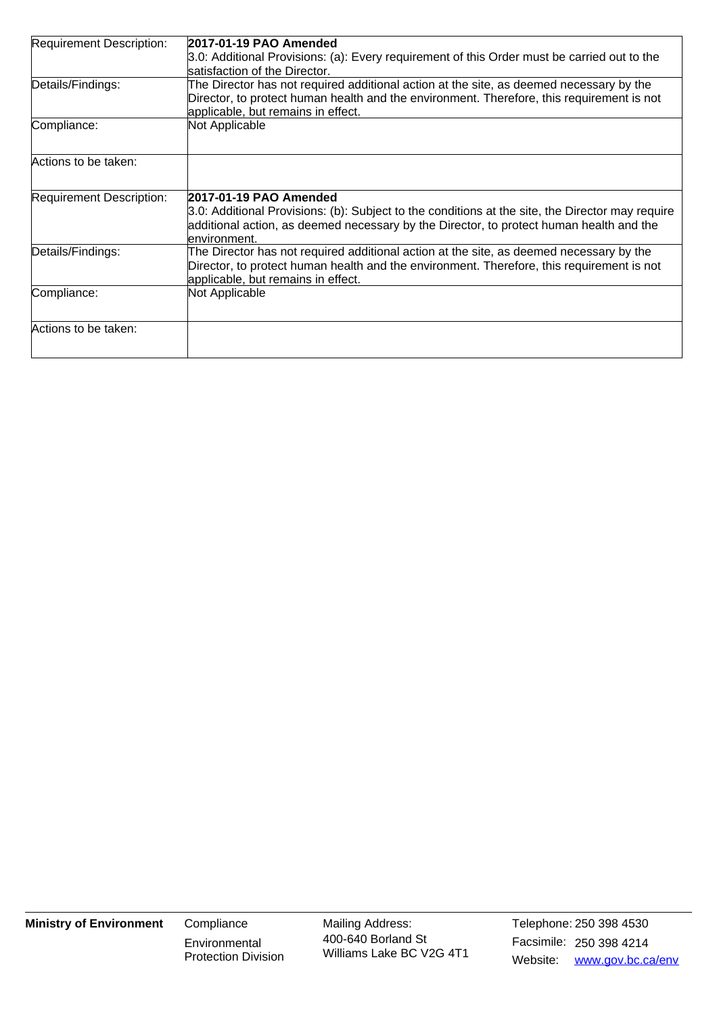| Requirement Description: | 2017-01-19 PAO Amended                                                                                                                                                                      |
|--------------------------|---------------------------------------------------------------------------------------------------------------------------------------------------------------------------------------------|
|                          | 3.0: Additional Provisions: (a): Every requirement of this Order must be carried out to the                                                                                                 |
|                          | satisfaction of the Director.                                                                                                                                                               |
| Details/Findings:        | The Director has not required additional action at the site, as deemed necessary by the                                                                                                     |
|                          | Director, to protect human health and the environment. Therefore, this requirement is not                                                                                                   |
|                          | applicable, but remains in effect.                                                                                                                                                          |
| Compliance:              | Not Applicable                                                                                                                                                                              |
|                          |                                                                                                                                                                                             |
| Actions to be taken:     |                                                                                                                                                                                             |
|                          |                                                                                                                                                                                             |
| Requirement Description: | 2017-01-19 PAO Amended                                                                                                                                                                      |
|                          | 3.0: Additional Provisions: (b): Subject to the conditions at the site, the Director may require<br>additional action, as deemed necessary by the Director, to protect human health and the |
|                          | lenvironment.                                                                                                                                                                               |
| Details/Findings:        | The Director has not required additional action at the site, as deemed necessary by the                                                                                                     |
|                          | Director, to protect human health and the environment. Therefore, this requirement is not                                                                                                   |
|                          | applicable, but remains in effect.                                                                                                                                                          |
| Compliance:              | Not Applicable                                                                                                                                                                              |
|                          |                                                                                                                                                                                             |
| Actions to be taken:     |                                                                                                                                                                                             |
|                          |                                                                                                                                                                                             |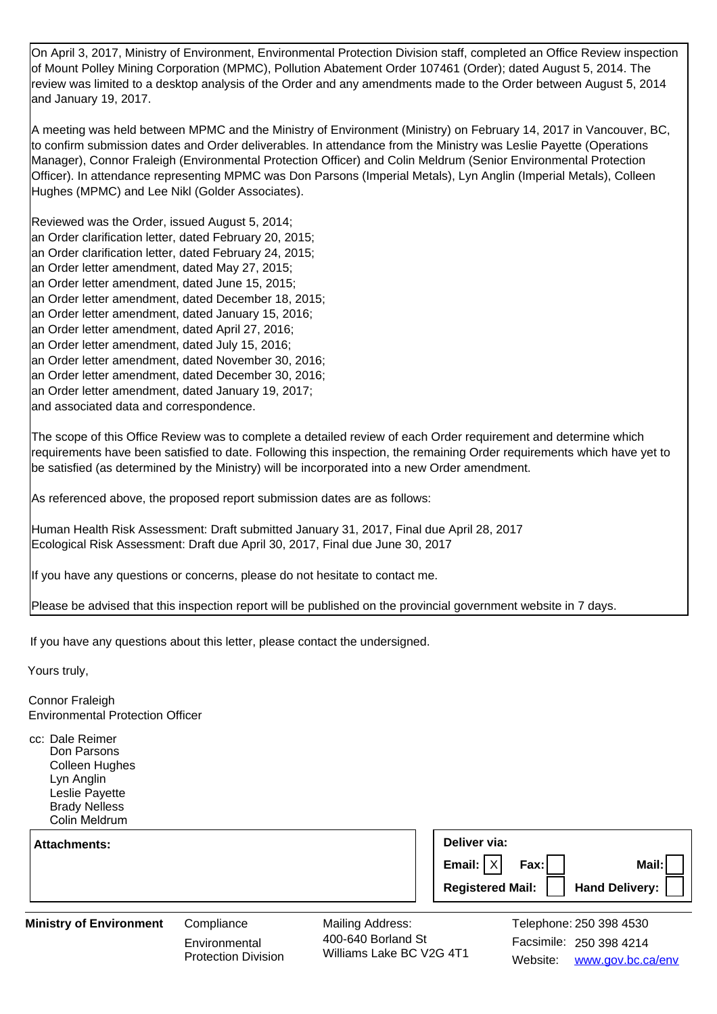On April 3, 2017, Ministry of Environment, Environmental Protection Division staff, completed an Office Review inspection of Mount Polley Mining Corporation (MPMC), Pollution Abatement Order 107461 (Order); dated August 5, 2014. The review was limited to a desktop analysis of the Order and any amendments made to the Order between August 5, 2014 and January 19, 2017.

A meeting was held between MPMC and the Ministry of Environment (Ministry) on February 14, 2017 in Vancouver, BC, to confirm submission dates and Order deliverables. In attendance from the Ministry was Leslie Payette (Operations Manager), Connor Fraleigh (Environmental Protection Officer) and Colin Meldrum (Senior Environmental Protection Officer). In attendance representing MPMC was Don Parsons (Imperial Metals), Lyn Anglin (Imperial Metals), Colleen Hughes (MPMC) and Lee Nikl (Golder Associates).

Reviewed was the Order, issued August 5, 2014; an Order clarification letter, dated February 20, 2015; an Order clarification letter, dated February 24, 2015; an Order letter amendment, dated May 27, 2015; an Order letter amendment, dated June 15, 2015; an Order letter amendment, dated December 18, 2015; an Order letter amendment, dated January 15, 2016; an Order letter amendment, dated April 27, 2016; an Order letter amendment, dated July 15, 2016; an Order letter amendment, dated November 30, 2016; an Order letter amendment, dated December 30, 2016; an Order letter amendment, dated January 19, 2017; and associated data and correspondence.

The scope of this Office Review was to complete a detailed review of each Order requirement and determine which requirements have been satisfied to date. Following this inspection, the remaining Order requirements which have yet to be satisfied (as determined by the Ministry) will be incorporated into a new Order amendment.

As referenced above, the proposed report submission dates are as follows:

Human Health Risk Assessment: Draft submitted January 31, 2017, Final due April 28, 2017 Ecological Risk Assessment: Draft due April 30, 2017, Final due June 30, 2017

If you have any questions or concerns, please do not hesitate to contact me.

Please be advised that this inspection report will be published on the provincial government website in 7 days.

If you have any questions about this letter, please contact the undersigned.

Yours truly,

Connor Fraleigh Environmental Protection Officer

cc: Dale Reimer Don Parsons Colleen Hughes Lyn Anglin Leslie Payette Brady Nelless Colin Meldrum

| Attachments: | Deliver via:                         |
|--------------|--------------------------------------|
|              | Fax:<br>Email: $ X $<br>Mail:        |
|              | Hand Delivery: I<br>Registered Mail: |

## **Ministry of Environment** Compliance

**Environmental** Protection Division Mailing Address: Facsimile: 250 398 4214 400-640 Borland St Williams Lake BC V2G 4T1

Website: www.gov.bc.ca/env Telephone: 250 398 4530